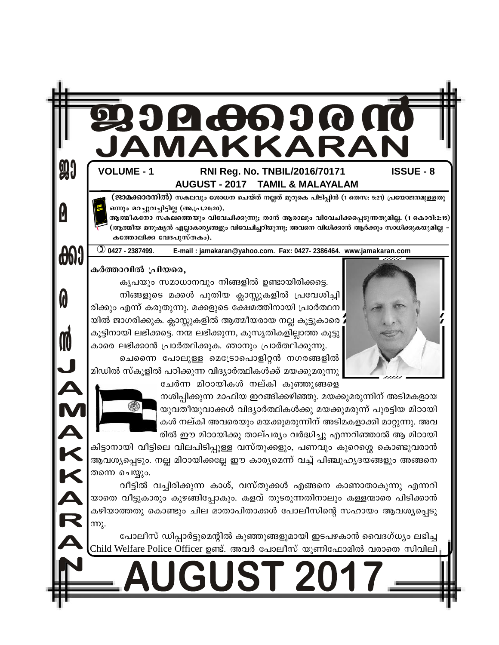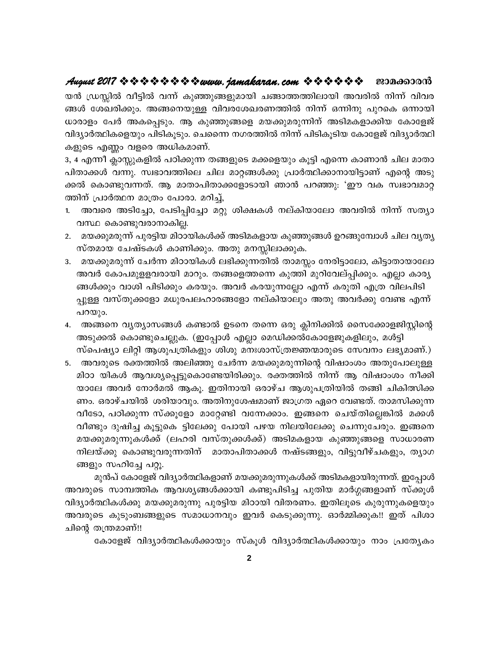യൻ ഡ്രസ്സിൽ വീട്ടിൽ വന്ന് കുഞ്ഞുങ്ങളുമായി ചങ്ങാത്തത്തിലായി അവരിൽ നിന്ന് വിവര ങ്ങൾ ശേഖരിക്കും. അങ്ങനെയുള്ള വിവരശേഖരണത്തിൽ നിന്ന് ഒന്നിനു പുറകെ ഒന്നായി ധാരാളം പേർ അകപ്പെടും. ആ കുഞ്ഞുങ്ങളെ മയക്കുമരുന്നിന് അടിമകളാക്കിയ കോളേജ് വിദ്യാർത്ഥികളെയും പിടികൂടും. ചെന്നൈ നഗരത്തിൽ നിന്ന് പിടികൂടിയ കോളേജ് വിദ്യാർത്ഥി കളുടെ എണ്ണം വളരെ അധികമാണ്.

3, 4 എന്നീ ക്ലാസ്സുകളിൽ പഠിക്കുന്ന തങ്ങളുടെ മക്കളെയും കൂട്ടി എന്നെ കാണാൻ ചില മാതാ പിതാക്കൾ വന്നു. സ്വഭാവത്തിലെ ചില മാറ്റങ്ങൾക്കു പ്രാർത്ഥിക്കാനായിട്ടാണ് എന്റെ അടു ക്കൽ കൊണ്ടുവന്നത്. ആ മാതാപിതാക്കളോടായി ഞാൻ പറഞ്ഞു: 'ഈ വക സ്വഭാവമാറ്റ ത്തിന് പ്രാർത്ഥന മാത്രം പോരാ. മറിച്,

- 1. അവരെ അടിച്ചോ, പേടിപ്പിച്ചോ മറ്റു ശിക്ഷകൾ നല്കിയാലോ അവരിൽ നിന്ന് സത്യാ വസ്ഥ കൊണ്ടുവരാനാകില്ല.
- 2. മയക്കുമരുന്ന് പുരട്ടിയ മിഠായികൾക്ക് അടിമകളായ കുഞ്ഞുങ്ങൾ ഉറങ്ങുമ്പോൾ ചില വൃത്യ സ്തമായ ചേഷ്ടകൾ കാണിക്കും. അതു മനസ്സിലാക്കുക.
- 3. മയക്കുമരുന്ന് ചേർന്ന മിഠായികൾ ലഭിക്കുന്നതിൽ താമസ്സം നേരിട്ടാലോ, കിട്ടാതായാലോ അവർ കോപമുളളവരായി മാറും. തങ്ങളെത്തന്നെ കുത്തി മുറിവേല്പ്പിക്കും. എല്ലാ കാര്യ ങ്ങൾക്കും വാശി പിടിക്കും കരയും. അവർ കരയുന്നല്ലോ എന്ന് കരുതി എത്ര വിലപിടി പ്പുള്ള വസ്തുക്കളോ മധുരപലഹാരങ്ങളോ നല്കിയാലും അതു അവർക്കു വേണ്ട എന്ന് പറയും.
- 4. അങ്ങനെ വൃത്യാസങ്ങൾ കണ്ടാൽ ഉടനെ തന്നെ ഒരു ക്ലിനിക്കിൽ സൈക്കോളജിസ്റ്റിന്റെ അടുക്കൽ കൊണ്ടുചെല്ലുക. (ഇപ്പോൾ എല്ലാ മെഡിക്കൽകോളേജുകളിലും, മൾട്ടി സ്പെഷ്യാ ലിറ്റി ആശുപത്രികളും ശിശു മനഃശാസ്ത്രജ്ഞന്മാരുടെ സേവനം ലഭ്യമാണ്.)
- 5. അവരുടെ രക്തത്തിൽ അലിഞ്ഞു ചേർന്ന മയക്കുമരുന്നിന്റെ വിഷാംശം അതുപോലുള്ള മിഠാ യികൾ ആവശ്യപ്പെട്ടുകൊണ്ടേയിരിക്കും. രക്തത്തിൽ നിന്ന് ആ വിഷാംശം നീക്കി യാലേ അവർ നോർമൽ ആകൂ. ഇതിനായി ഒരാഴ്ച ആശുപത്രിയിൽ തങ്ങി ചികിത്സിക്ക ണം. ഒരാഴ്ചയിൽ ശരിയാവും. അതിനുശേഷമാണ് ജാഗ്രത ഏറെ വേണ്ടത്. താമസിക്കുന്ന വീടോ, പഠിക്കുന്ന സ്ക്കൂളോ മാറ്റേണ്ടി വന്നേക്കാം. ഇങ്ങനെ ചെയ്തില്ലെങ്കിൽ മക്കൾ വീണ്ടും ദുഷിച്ച കൂട്ടുകെ ട്ടിലേക്കു പോയി പഴയ നിലയിലേക്കു ചെന്നുചേരും. ഇങ്ങനെ മയക്കുമരുന്നുകൾക്ക് (ലഹരി വസ്തുക്കൾക്ക്) അടിമകളായ കുഞ്ഞുങ്ങളെ സാധാരണ നിലയ്ക്കു കൊണ്ടുവരുന്നതിന് മാതാപിതാക്കൾ നഷ്ടങ്ങളും, വിട്ടുവീഴ്ചകളും, തൃാഗ ങ്ങളും സഹിച്ചേ പറ്റൂ.

മുൻപ് കോളേജ് വിദ്യാർത്ഥികളാണ് മയക്കുമരുന്നുകൾക്ക് അടിമകളായിരുന്നത്. ഇപ്പോൾ അവരുടെ സാമ്പത്തിക ആവശ്യങ്ങൾക്കായി കണ്ടുപിടിച്ച പുതിയ മാർഗ്ഗങ്ങളാണ് സ്ക്കൂൾ വിദ്യാർത്ഥികൾക്കു മയക്കുമരുന്നു പുരട്ടിയ മിഠായി വിതരണം. ഇതിലൂടെ കുരുന്നുകളെയും അവരുടെ കുടുംബങ്ങളുടെ സമാധാനവും ഇവർ കെടുക്കുന്നു. ഓർമ്മിക്കുക!! ഇത് പിശാ ചിന്റെ തന്ത്രമാണ്!!

കോളേജ് വിദ്യാർത്ഥികൾക്കായും സ്കൂൾ വിദ്യാർത്ഥികൾക്കായും നാം പ്രത്യേകം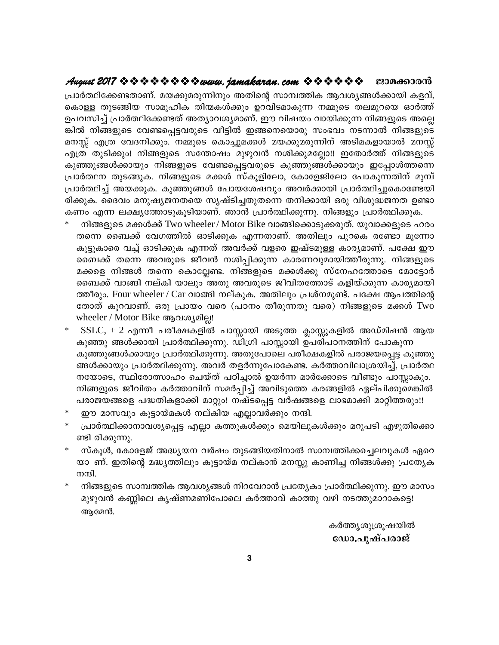# ജാമക്കാരൻ

പ്രാർത്ഥിക്കേണ്ടതാണ്. മയക്കുമരുന്നിനും അതിന്റെ സാമ്പത്തിക ആവശ്യങ്ങൾക്കായി കളവ്, കൊള്ള തുടങ്ങിയ സാമൂഹിക തിന്മകൾക്കും ഉറവിടമാകുന്ന നമ്മുടെ തലമുറയെ ഓർത്ത് ഉപവസിച്ച് പ്രാർത്ഥിക്കേണ്ടത് അത്യാവശ്യമാണ്. ഈ വിഷയം വായിക്കുന്ന നിങ്ങളുടെ അല്ലെ ങ്കിൽ നിങ്ങളുടെ വേണ്ടപ്പെട്ടവരുടെ വീട്ടിൽ ഇങ്ങനെയൊരു സംഭവം നടന്നാൽ നിങ്ങളുടെ മനസ്സ് എത്ര വേദനിക്കും. നമ്മുടെ കൊച്ചുമക്കൾ മയക്കുമരുന്നിന് അടിമകളായാൽ മനസ്സ് എത്ര തുടിക്കും! നിങ്ങളുടെ സന്തോഷം മുഴുവൻ നശിക്കുമല്ലോ!! ഇതോർത്ത് നിങ്ങളുടെ കുഞ്ഞുങ്ങൾക്കായും നിങ്ങളുടെ വേണ്ടപ്പെട്ടവരുടെ കുഞ്ഞുങ്ങൾക്കായും ഇപ്പോൾത്തന്നെ പ്രാർത്ഥന തുടങ്ങുക. നിങ്ങളുടെ മക്കൾ സ്കൂളിലോ, കോളേജിലോ പോകുന്നതിന് മുമ്പ് പ്രാർത്ഥിച്ച് അയക്കുക. കുഞ്ഞുങ്ങൾ പോയശേഷവും അവർക്കായി പ്രാർത്ഥിച്ചുകൊണ്ടേയി രിക്കുക. ദൈവം മനുഷ്യജനതയെ സൃഷ്ടിച്ചതുതന്നെ തനിക്കായി ഒരു വിശുദ്ധജനത ഉണ്ടാ കണം എന്ന ലക്ഷ്യത്തോടുകൂടിയാണ്. ഞാൻ പ്രാർത്ഥിക്കുന്നു. നിങ്ങളും പ്രാർത്ഥിക്കുക.

- നിങ്ങളുടെ മക്കൾക്ക് Two wheeler / Motor Bike വാങ്ങിക്കൊടുക്കരുത്. യുവാക്കളുടെ ഹരം തന്നെ ബൈക്ക് വേഗത്തിൽ ഓടിക്കുക എന്നതാണ്. അതിലും പുറകെ രണ്ടോ മൂന്നോ കൂട്ടുകാരെ വച്ച് ഓടിക്കുക എന്നത് അവർക്ക് വളരെ ഇഷ്ടമുള്ള കാര്യമാണ്. പക്ഷേ ഈ ബൈക്ക് തന്നെ അവരുടെ ജീവൻ നശിപ്പിക്കുന്ന കാരണവുമായിത്തീരുന്നു. നിങ്ങളുടെ മക്കളെ നിങ്ങൾ തന്നെ കൊല്ലേണ്ട. നിങ്ങളുടെ മക്കൾക്കു സ്നേഹത്തോടെ മോട്ടോർ ബൈക്ക് വാങ്ങി നല്കി യാലും അതു അവരുടെ ജീവിതത്തോട് കളിയ്ക്കുന്ന കാര്യമായി ത്തീരും. Four wheeler / Car വാങ്ങി നല്കുക. അതിലും പ്രശ്നമുണ്ട്. പക്ഷേ ആപത്തിന്റെ തോത് കുറവാണ്. ഒരു പ്രായം വരെ (പഠനം തീരുന്നതു വരെ) നിങ്ങളുടെ മക്കൾ Two wheeler / Motor Bike ആവശ്യമില്ല!
- $SSLC$ , + 2 എന്നീ പരീക്ഷകളിൽ പാസ്സായി അടുത്ത ക്ലാസ്സുകളിൽ അഡ്മിഷൻ ആയ കുഞ്ഞു ങ്ങൾക്കായി പ്രാർത്ഥിക്കുന്നു. ഡിഗ്രി പാസ്സായി ഉപരിപഠനത്തിന് പോകുന്ന കുഞ്ഞുങ്ങൾക്കായും പ്രാർത്ഥിക്കുന്നു. അതുപോലെ പരീക്ഷകളിൽ പരാജയപ്പെട്ട കുഞ്ഞു ങ്ങൾക്കായും പ്രാർത്ഥിക്കുന്നു. അവർ തളർന്നുപോകേണ്ട. കർത്താവിലാശ്രയിച്ച്, പ്രാർത്ഥ നയോടെ, സ്ഥിരോത്സാഹം ചെയ്ത് പഠിച്ചാൽ ഉയർന്ന മാർക്കോടെ വീണ്ടും പാസ്സാകും. നിങ്ങളുടെ ജീവിതം കർത്താവിന് സമർപ്പിച്ച് അവിടുത്തെ കരങ്ങളിൽ ഏല്പിക്കുമെങ്കിൽ പരാജയങ്ങളെ പദ്ധതികളാക്കി മാറ്റും! നഷ്ടപ്പെട്ട വർഷങ്ങളെ ലാഭമാക്കി മാറ്റിത്തരും!!
- ഈ മാസവും കൂട്ടായ്മകൾ നല്കിയ എല്ലാവർക്കും നന്ദി.
- പ്രാർത്ഥിക്കാനാവശ്യപ്പെട്ട എല്ലാ കത്തുകൾക്കും മെയിലുകൾക്കും മറുപടി എഴുതിക്കൊ ണ്ടി രിക്കുന്നു.
- സ്കൂൾ, കോളേജ് അദ്ധ്യയന വർഷം തുടങ്ങിയതിനാൽ സാമ്പത്തിക്കച്ചെലവുകൾ ഏറെ യാ ണ്. ഇതിന്റെ മദ്ധ്യത്തിലും കൂട്ടായ്മ നല്കാൻ മനസ്സു കാണിച്ച നിങ്ങൾക്കു പ്രത്യേക നന്ദി.
- നിങ്ങളുടെ സാമ്പത്തിക ആവശ്യങ്ങൾ നിറവേറാൻ പ്രത്യേകം പ്രാർത്ഥിക്കുന്നു. ഈ മാസം മുഴുവൻ കണ്ണിലെ കൃഷ്ണമണിപോലെ കർത്താവ് കാത്തു വഴി നടത്തുമാറാകട്ടെ! ആമേൻ.

കർത്തൃശുശ്രൂഷയിൽ ഡോ.പുഷ്പരാജ്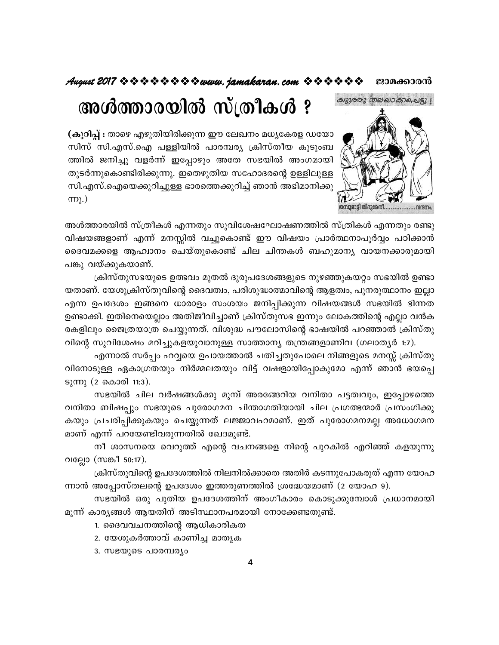# August 2017 \* \* \* \* \* \* \* \* \* www. jamakaran.com \* \* \* \* \* \* ജാമക്കാരൻ

അൾത്താരയിൽ സ്ത്രീകൾ ?



(കുറിപ്പ് : താഴെ എഴുതിയിരിക്കുന്ന ഈ ലേഖനം മധ്യകേരള ഡയോ സിസ് സി.എസ്.ഐ പള്ളിയിൽ പാരമ്പര്യ ക്രിസ്തീയ കുടുംബ ത്തിൽ ജനിച്ചു വളർന്ന് ഇപ്പോഴും അതേ സഭയിൽ അംഗമായി തുടർന്നുകൊണ്ടിരിക്കുന്നു. ഇതെഴുതിയ സഹോദരന്റെ ഉള്ളിലുള്ള സി.എസ്.ഐയെക്കുറിച്ചുള്ള ഭാരത്തെക്കുറിച്ച് ഞാൻ അഭിമാനിക്കു  $(m<sub>λ</sub>)$ 

അൾത്താരയിൽ സ്ത്രീകൾ എന്നതും സുവിശേഷഘോഷണത്തിൽ സ്ത്രികൾ എന്നതും രണ്ടു വിഷയങ്ങളാണ് എന്ന് മനസ്സിൽ വച്ചുകൊണ്ട് ഈ വിഷയം പ്രാർത്ഥനാപൂർവ്വം പഠിക്കാൻ ദൈവമക്കളെ ആഹ്വാനം ചെയ്തുകൊണ്ട് ചില ചിന്തകൾ ബഹുമാന്യ വായനക്കാരുമായി പങ്കു വയ്ക്കുകയാണ്.

ക്രിസ്തുസഭയുടെ ഉത്ഭവം മുതൽ ദുരുപദേശങ്ങളുടെ നുഴഞ്ഞുകയറ്റം സഭയിൽ ഉണ്ടാ യതാണ്. യേശുക്രിസ്തുവിന്റെ ദൈവത്വം, പരിശുദ്ധാത്മാവിന്റെ ആളത്വം, പുനരുത്ഥാനം ഇല്ലാ എന്ന ഉപദേശം ഇങ്ങനെ ധാരാളം സംശയം ജനിപ്പിക്കുന്ന വിഷയങ്ങൾ സഭയിൽ ഭിന്നത ഉണ്ടാക്കി. ഇതിനെയെല്ലാം അതിജീവിച്ചാണ് ക്രിസ്തുസഭ ഇന്നും ലോകത്തിന്റെ എല്ലാ വൻക രകളിലും ജൈത്രയാത്ര ചെയ്യുന്നത്. വിശുദ്ധ പൗലോസിന്റെ ഭാഷയിൽ പറഞ്ഞാൽ ക്രിസ്തു വിന്റെ സുവിശേഷം മറിച്ചുകളയുവാനുള്ള സാത്താന്യ തന്ത്രങ്ങളാണിവ (ഗലാതൃർ 1:7).

എന്നാൽ സർപ്പം ഹവ്വയെ ഉപായത്താൽ ചതിച്ചതുപോലെ നിങ്ങളുടെ മനസ്സ് ക്രിസ്തു വിനോടുള്ള ഏകാഗ്രതയും നിർമ്മലതയും വിട്ട് വഷളായിപ്പോകുമോ എന്ന് ഞാൻ ഭയപ്പെ ടുന്നു (2 കൊരി 11:3).

സഭയിൽ ചില വർഷങ്ങൾക്കു മുമ്പ് അരങ്ങേറിയ വനിതാ പട്ടത്വവും, ഇപ്പോഴത്തെ വനിതാ ബിഷപ്പും സഭയുടെ പുരോഗമന ചിന്താഗതിയായി ചില പ്രഗത്ഭന്മാർ പ്രസംഗിക്കു കയും പ്രചരിപ്പിക്കുകയും ചെയ്യുന്നത് ലജ്ജാവഹമാണ്. ഇത് പുരോഗമനമല്ല അധോഗമന മാണ് എന്ന് പറയേണ്ടിവരുന്നതിൽ ഖേദമുണ്ട്.

നീ ശാസനയെ വെറുത്ത് എന്റെ വചനങ്ങളെ നിന്റെ പുറകിൽ എറിഞ്ഞ് കളയുന്നു വല്ലോ (സങ്കീ 50:17).

ക്രിസ്തുവിന്റെ ഉപദേശത്തിൽ നിലനിൽക്കാതെ അതിർ കടന്നുപോകരുത് എന്ന യോഹ ന്നാൻ അപ്പോസ്തലന്റെ ഉപദേശം ഇത്തരുണത്തിൽ ശ്രദ്ധേയമാണ് (2 യോഹ 9).

സഭയിൽ ഒരു പുതിയ ഉപദേശത്തിന് അംഗീകാരം കൊടുക്കുമ്പോൾ പ്രധാനമായി മൂന്ന് കാര്യങ്ങൾ ആയതിന് അടിസ്ഥാനപരമായി നോക്കേണ്ടതുണ്ട്.

- 1. ദൈവവചനത്തിന്റെ ആധികാരികത
- 2. യേശുകർത്താവ് കാണിച്ച മാതൃക
- 3. സഭയുടെ പാരമ്പര്യം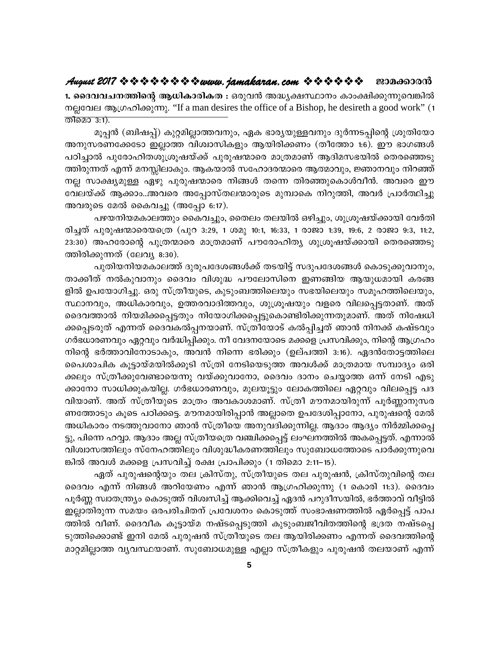1. ദൈവവചനത്തിന്റെ ആധികാരികത : ഒരുവൻ അദ്ധ്യക്ഷസ്ഥാനം കാംക്ഷിക്കുന്നുവെങ്കിൽ നല്ലവേല ആഗ്രഹിക്കുന്നു. "If a man desires the office of a Bishop, he desireth a good work" (1 തിമൊ 3:1).

മൂപ്പൻ (ബിഷപ്പ്) കുറ്റമില്ലാത്തവനും, ഏക ഭാര്യയുള്ളവനും ദുർന്നടപ്പിന്റെ ശ്രുതിയോ അനുസരണക്കേടോ ഇല്ലാത്ത വിശ്വാസികളും ആയിരിക്കണം (തീത്തോ 1:6). ഈ ഭാഗങ്ങൾ പഠിച്ചാൽ പുരോഹിതശുശ്രൂഷയ്ക്ക് പുരുഷന്മാരെ മാത്രമാണ് ആദിമസഭയിൽ തെരഞ്ഞെടു ത്തിരുന്നത് എന്ന് മനസ്സിലാകും. ആകയാൽ സഹോദരന്മാരെ ആത്മാവും, ജ്ഞാനവും നിറഞ്ഞ് നല്ല സാക്ഷ്യമുള്ള ഏഴു പുരുഷന്മാരെ നിങ്ങൾ തന്നെ തിരഞ്ഞുകൊൾവീൻ. അവരെ ഈ വേലയ്ക്ക് ആക്കാം..അവരെ അപ്പോസ്തലന്മാരുടെ മുമ്പാകെ നിറുത്തി, അവർ പ്രാർത്ഥിച്ചു അവരുടെ മേൽ കൈവച്ചു (അപ്പോ 6:17).

പഴയനിയമകാലത്തും കൈവച്ചും, തൈലം തലയിൽ ഒഴിച്ചും, ശുശ്രൂഷയ്ക്കായി വേർതി രിച്ചത് പുരുഷന്മാരെയത്രെ (പുറ 3:29, 1 ശമൂ 10:1, 16:33, 1 രാജാ 1:39, 19:6, 2 രാജാ 9:3, 11:2, 23:30) അഹരോന്റെ പുത്രന്മാരെ മാത്രമാണ് പൗരോഹിത്യ ശുശ്രൂഷയ്ക്കായി തെരഞ്ഞെടു ത്തിരിക്കുന്നത് (ലേവ്യ 8:30).

പുതിയനിയമകാലത്ത് ദുരുപദേശങ്ങൾക്ക് തടയിട്ട് സദുപദേശങ്ങൾ കൊടുക്കുവാനും, താക്കീത് നൽകുവാനും ദൈവം വിശുദ്ധ പൗലോസിനെ ഇണങ്ങിയ ആയുധമായി കരങ്ങ ളിൽ ഉപയോഗിച്ചു. ഒരു സ്ത്രീയുടെ, കുടുംബത്തിലെയും സഭയിലെയും സമൂഹത്തിലെയും, സ്ഥാനവും, അധികാരവും, ഉത്തരവാദിത്തവും, ശുശ്രൂഷയും വളരെ വിലപ്പെട്ടതാണ്. അത് ദൈവത്താൽ നിയമിക്കപ്പെട്ടതും നിയോഗിക്കപ്പെട്ടുകൊണ്ടിരിക്കുന്നതുമാണ്. അത് നിഷേധി ക്കപ്പെടരുത് എന്നത് ദൈവകൽപ്പനയാണ്. സ്ത്രീയോട് കൽപ്പിച്ചത് ഞാൻ നിനക്ക് കഷ്ടവും ഗർഭധാരണവും ഏറ്റവും വർദ്ധിപ്പിക്കും. നീ വേദനയോടെ മക്കളെ പ്രസവിക്കും, നിന്റെ ആഗ്രഹം നിന്റെ ഭർത്താവിനോടാകും, അവൻ നിന്നെ ഭരിക്കും (ഉല്പത്തി 3:16). ഏദൻതോട്ടത്തിലെ പൈശാചിക കൂട്ടായ്മയിൽക്കൂടി സ്ത്രി നേടിയെടുത്ത അവൾക്ക് മാത്രമായ സമ്പാദ്യം ഒരി ക്കലും സ്ത്രീക്കുവേണ്ടായെന്നു വയ്ക്കുവാനോ, ദൈവം ദാനം ചെയ്യാത്ത ഒന്ന് നേടി എടു ക്കാനോ സാധിക്കുകയില്ല. ഗർഭധാരണവും, മുലയൂട്ടും ലോകത്തിലെ ഏറ്റവും വിലപ്പെട്ട പദ വിയാണ്. അത് സ്ത്രീയുടെ മാത്രം അവകാശമാണ്. സ്ത്രീ മൗനമായിരുന്ന് പൂർണ്ണാനുസര ണത്തോടും കൂടെ പഠിക്കട്ടെ. മൗനമായിരിപ്പാൻ അല്ലാതെ ഉപദേശിപ്പാനോ, പുരുഷന്റെ മേൽ അധികാരം നടത്തുവാനോ ഞാൻ സ്ത്രീയെ അനുവദിക്കുന്നില്ല. ആദാം ആദ്യം നിർമ്മിക്കപ്പെ ട്ടു, പിന്നെ ഹവ്വാ. ആദാം അല്ല സ്ത്രീയത്രെ വഞ്ചിക്കപ്പെട്ട് ലംഘനത്തിൽ അകപ്പെട്ടത്. എന്നാൽ വിശ്വാസത്തിലും സ്നേഹത്തിലും വിശുദ്ധീകരണത്തിലും സുബോധത്തോടെ പാർക്കുന്നുവെ ങ്കിൽ അവൾ മക്കളെ പ്രസവിച്ച് രക്ഷ പ്രാപിക്കും (1 തിമൊ 2:11–15).

ഏത് പുരുഷന്റെയും തല ക്രിസ്തു, സ്ത്രീയുടെ തല പുരുഷൻ, ക്രിസ്തുവിന്റെ തല ദൈവം എന്ന് നിങ്ങൾ അറിയേണം എന്ന് ഞാൻ ആഗ്രഹിക്കുന്നു (1 കൊരി 11:3). ദൈവം പൂർണ്ണ സ്വാതന്ത്ര്യം കൊടുത്ത് വിശ്വസിച്ച് ആക്കിവെച്ച് ഏദൻ പറുദീസയിൽ, ഭർത്താവ് വീട്ടിൽ ഇല്ലാതിരുന്ന സമയം ഒരപരിചിതന് പ്രവേശനം കൊടുത്ത് സംഭാഷണത്തിൽ ഏർപ്പെട്ട് പാപ ത്തിൽ വീണ്. ദൈവീക കൂട്ടായ്മ നഷ്ടപ്പെടുത്തി കുടുംബജീവിതത്തിന്റെ ഭദ്രത നഷ്ടപ്പെ ടുത്തിക്കൊണ്ട് ഇനി മേൽ പുരുഷൻ സ്ത്രീയുടെ തല ആയിരിക്കണം എന്നത് ദൈവത്തിന്റെ മാറ്റമില്ലാത്ത വ്യവസ്ഥയാണ്. സുബോധമുള്ള എല്ലാ സ്ത്രീകളും പുരുഷൻ തലയാണ് എന്ന്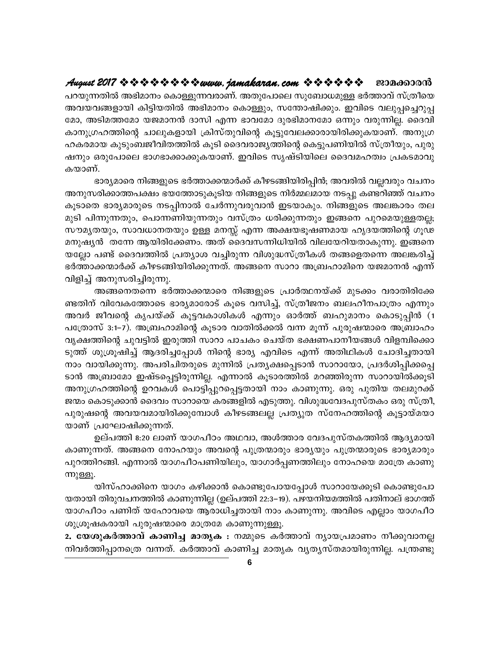പറയുന്നതിൽ അഭിമാനം കൊള്ളുന്നവരാണ്. അതുപോലെ സുബോധമുള്ള ഭർത്താവ് സ്ത്രീയെ അവയവങ്ങളായി കിട്ടിയതിൽ അഭിമാനം കൊള്ളും, സന്തോഷിക്കും. ഇവിടെ വലുപ്പച്ചെറുപ്പ മോ, അടിമത്തമോ യജമാനൻ ദാസി എന്ന ഭാവമോ ദുരഭിമാനമോ ഒന്നും വരുന്നില്ല. ദൈവി കാനുഗ്രഹത്തിന്റെ ചാലുകളായി ക്രിസ്തുവിന്റെ കൂട്ടുവേലക്കാരായിരിക്കുകയാണ്. അനുഗ്ര ഹകരമായ കുടുംബജീവിതത്തിൽ കൂടി ദൈവരാജ്യത്തിന്റെ കെട്ടുപണിയിൽ സ്ത്രീയും, പുരു ഷനും ഒരുപോലെ ഭാഗഭാക്കാക്കുകയാണ്. ഇവിടെ സൃഷ്ടിയിലെ ദൈവമഹത്വം പ്രകടമാവു കയാണ്.

ഭാര്യമാരെ നിങ്ങളുടെ ഭർത്താക്കന്മാർക്ക് കീഴടങ്ങിയിരിപ്പിൻ; അവരിൽ വല്ലവരും വചനം അനുസരിക്കാത്തപക്ഷം ഭയത്തോടുകൂടിയ നിങ്ങളുടെ നിർമ്മലമായ നടപ്പു കണ്ടറിഞ്ഞ് വചനം കൂടാതെ ഭാര്യമാരുടെ നടപ്പിനാൽ ചേർന്നുവരുവാൻ ഇടയാകും. നിങ്ങളുടെ അലങ്കാരം തല മുടി പിന്നുന്നതും, പൊന്നണിയുന്നതും വസ്ത്രം ധരിക്കുന്നതും ഇങ്ങനെ പുറമെയുള്ളതല്ല; സൗമൃതയും, സാവധാനതയും ഉള്ള മനസ്സ് എന്ന അക്ഷയഭൂഷണമായ ഹൃദയത്തിന്റെ ഗൂഢ മനുഷ്യൻ തന്നേ ആയിരിക്കേണം. അത് ദൈവസന്നിധിയിൽ വിലയേറിയതാകുന്നു. ഇങ്ങനെ യല്ലോ പണ്ട് ദൈവത്തിൽ പ്രത്യാശ വച്ചിരുന്ന വിശുദ്ധസ്ത്രീകൾ തങ്ങളെതന്നെ അലങ്കരിച്ച് ഭർത്താക്കന്മാർക്ക് കീഴടങ്ങിയിരിക്കുന്നത്. അങ്ങനെ സാറാ അബ്രഹാമിനെ യജമാനൻ എന്ന് വിളിച്ച് അനുസരിച്ചിരുന്നു.

അങ്ങനെതന്നെ ഭർത്താക്കന്മാരെ നിങ്ങളുടെ പ്രാർത്ഥനയ്ക്ക് മുടക്കം വരാതിരിക്കേ ണ്ടതിന് വിവേകത്തോടെ ഭാര്യമാരോട് കൂടെ വസിച്ച്, സ്ത്രീജനം ബലഹീനപാത്രം എന്നും അവർ ജീവന്റെ കൃപയ്ക്ക് കൂട്ടവകാശികൾ എന്നും ഓർത്ത് ബഹുമാനം കൊടുപ്പിൻ (1 പത്രോസ് 3:1-7). അബ്രഹാമിന്റെ കുടാര വാതിൽക്കൽ വന്ന മുന്ന് പുരുഷന്മാരെ അബ്രാഹം വൃക്ഷത്തിന്റെ ചുവട്ടിൽ ഇരുത്തി സാറാ പാചകം ചെയ്ത ഭക്ഷണപാനീയങ്ങൾ വിളമ്പിക്കൊ ടുത്ത് ശുശ്രൂഷിച്ച് ആദരിച്ചപ്പോൾ നിന്റെ ഭാര്യ എവിടെ എന്ന് അതിഥികൾ ചോദിച്ചതായി നാം വായിക്കുന്നു. അപരിചിതരുടെ മുന്നിൽ പ്രത്യക്ഷപ്പെടാൻ സാറായോ, പ്രദർശിപ്പിക്കപ്പെ ടാൻ അബ്രാമോ ഇഷ്ടപ്പെട്ടിരുന്നില്ല. എന്നാൽ കൂടാരത്തിൽ മറഞ്ഞിരുന്ന സാറായിൽക്കൂടി അനുഗ്രഹത്തിന്റെ ഉറവകൾ പൊട്ടിപ്പുറപ്പെട്ടതായി നാം കാണുന്നു. ഒരു പുതിയ തലമുറക്ക് ജന്മം കൊടുക്കാൻ ദൈവം സാറായെ കരങ്ങളിൽ എടുത്തു. വിശുദ്ധവേദപുസ്തകം ഒരു സ്ത്രീ, പുരുഷന്റെ അവയവമായിരിക്കുമ്പോൾ കീഴടങ്ങലല്ല പ്രത്യുത സ്നേഹത്തിന്റെ കൂട്ടായ്മയാ യാണ് പ്രഘോഷിക്കുന്നത്.

ഉല്പത്തി 8:20 ലാണ് യാഗപീഠം അഥവാ, അൾത്താര വേദപുസ്തകത്തിൽ ആദ്യമായി കാണുന്നത്. അങ്ങനെ നോഹയും അവന്റെ പുത്രന്മാരും ഭാര്യയും പുത്രന്മാരുടെ ഭാര്യമാരും പുറത്തിറങ്ങി. എന്നാൽ യാഗപീഠപണിയിലും, യാഗാർപ്പണത്തിലും നോഹയെ മാത്രേ കാണു ന്നുള്ളൂ.

യിസ്ഹാക്കിനെ യാഗം കഴിക്കാൻ കൊണ്ടുപോയപ്പോൾ സാറായേക്കൂടി കൊണ്ടുപോ യതായി തിരുവചനത്തിൽ കാണുന്നില്ല (ഉല്പത്തി 22:3–19). പഴയനിയമത്തിൽ പതിനാല് ഭാഗത്ത് യാഗപീഠം പണിത് യഹോവയെ ആരാധിച്ചതായി നാം കാണുന്നു. അവിടെ എല്ലാം യാഗപീഠ ശുശ്രൂഷകരായി പുരുഷന്മാരെ മാത്രമേ കാണുന്നുള്ളൂ.

2. യേശുകർത്താവ് കാണിച്ച മാതൃക : നമ്മുടെ കർത്താവ് ന്യായപ്രമാണം നീക്കുവാനല്ല നിവർത്തിപ്പാനത്രെ വന്നത്. കർത്താവ് കാണിച്ച മാതൃക വ്യത്യസ്തമായിരുന്നില്ല. പന്ത്രണ്ടു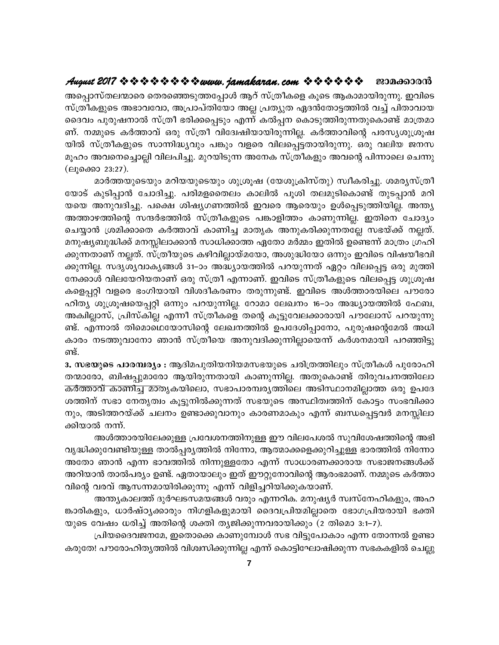അപ്പൊസ്തലന്മാരെ തെരഞ്ഞെടുത്തപ്പോൾ ആറ് സ്ത്രീകളെ കൂടെ ആകാമായിരുന്നു. ഇവിടെ സ്ത്രീകളുടെ അഭാവവോ, അപ്രാപ്തിയോ അല്ല പ്രത്യുത ഏദൻതോട്ടത്തിൽ വച്ച് പിതാവായ ദൈവം പുരുഷനാൽ സ്ത്രീ ഭരിക്കപ്പെടും എന്ന് കൽപ്പന കൊടുത്തിരുന്നതുകൊണ്ട് മാത്രമാ ണ്. നമ്മുടെ കർത്താവ് ഒരു സ്ത്രീ വിദ്വേഷിയായിരുന്നില്ല. കർത്താവിന്റെ പരസ്യശുശ്രൂഷ യിൽ സ്ത്രീകളുടെ സാന്നിദ്ധ്യവും പങ്കും വളരെ വിലപ്പെട്ടതായിരുന്നു. ഒരു വലിയ ജനസ മൂഹം അവനെച്ചൊല്ലി വിലപിച്ചു. മുറയിടുന്ന അനേക സ്ത്രീകളും അവന്റെ പിന്നാലെ ചെന്നു (ലുക്കൊ 23:27).

മാർത്തയുടെയും മറിയയുടെയും ശുശ്രൂഷ (യേശുക്രിസ്തു) സ്വീകരിച്ചു. ശമര്യസ്ത്രീ യോട് കുടിപ്പാൻ ചോദിച്ചു. പരിമളതൈലം കാലിൽ പൂശി തലമുടികൊണ്ട് തുടപ്പാൻ മറി യയെ അനുവദിച്ചു. പക്ഷെ ശിഷ്യഗണത്തിൽ ഇവരെ ആരെയും ഉൾപ്പെടുത്തിയില്ല. അന്ത്യ അത്താഴത്തിന്റെ സന്ദർഭത്തിൽ സ്ത്രീകളുടെ പങ്കാളിത്തം കാണുന്നില്ല. ഇതിനെ ചോദ്യം ചെയ്യാൻ ശ്രമിക്കാതെ കർത്താവ് കാണിച്ച മാതൃക അനുകരിക്കുന്നതല്ലേ സഭയ്ക്ക് നല്ലത്. മനുഷ്യബുദ്ധിക്ക് മനസ്സിലാക്കാൻ സാധിക്കാത്ത ഏതോ മർമ്മം ഇതിൽ ഉണ്ടെന്ന് മാത്രം ഗ്രഹി ക്കുന്നതാണ് നല്ലത്. സ്ത്രീയുടെ കഴിവില്ലായ്മയോ, അശുദ്ധിയോ ഒന്നും ഇവിടെ വിഷയീഭവി ക്കുന്നില്ല. സദൃശ്യവാകൃങ്ങൾ 31–ാം അദ്ധ്യായത്തിൽ പറയുന്നത് ഏറ്റം വിലപ്പെട്ട ഒരു മുത്തി നേക്കാൾ വിലയേറിയതാണ് ഒരു സ്ത്രീ എന്നാണ്. ഇവിടെ സ്ത്രീകളുടെ വിലപ്പെട്ട ശുശ്രൂഷ കളെപ്പറ്റി വളരെ ഭംഗിയായി വിശദീകരണം തരുന്നുണ്ട്. ഇവിടെ അൾത്താരയിലെ പൗരോ ഹിത്യ ശുശ്രൂഷയെപ്പറ്റി ഒന്നും പറയുന്നില്ല. റോമാ ലേഖനം 16–ാം അദ്ധ്യായത്തിൽ ഫേബ, അക്വില്ലാസ്, പ്രിസ്കില്ല എന്നീ സ്ത്രീകളെ തന്റെ കൂട്ടുവേലക്കാരായി പൗലോസ് പറയുന്നു ണ്ട്. എന്നാൽ തിമൊഥെയോസിന്റെ ലേഖനത്തിൽ ഉപദേശിപ്പാനോ, പുരുഷന്റെമേൽ അധി കാരം നടത്തുവാനോ ഞാൻ സ്ത്രീയെ അനുവദിക്കുന്നില്ലായെന്ന് കർശനമായി പറഞ്ഞിട്ടു ണ്ട്.

3. സഭയുടെ പാരമ്പര്യം : ആദിമപുതിയനിയമസഭയുടെ ചരിത്രത്തിലും സ്ത്രീകൾ പുരോഹി തന്മാരോ, ബിഷപ്പുമാരോ ആയിരുന്നതായി കാണുന്നില്ല. അതുകൊണ്ട് തിരുവചനത്തിലോ കർത്താവ് കാണിച്ച മാതൃകയിലൊ, സഭാപാരമ്പര്യത്തിലെ അടിസ്ഥാനമില്ലാത്ത ഒരു ഉപദേ ശത്തിന് സഭാ നേതൃത്വം കൂട്ടുനിൽക്കുന്നത് സഭയുടെ അസ്ഥിത്വത്തിന് കോട്ടം സംഭവിക്കാ നും, അടിത്തറയ്ക്ക് ചലനം ഉണ്ടാക്കുവാനും കാരണമാകും എന്ന് ബന്ധപ്പെട്ടവർ മനസ്സിലാ ക്കിയാൽ നന്ന്.

അൾത്താരയിലേക്കുള്ള പ്രവേശനത്തിനുള്ള ഈ വിലപേശൽ സുവിശേഷത്തിന്റെ അഭി വൃദ്ധിക്കുവേണ്ടിയുള്ള താൽപ്പര്യത്തിൽ നിന്നോ, ആത്മാക്കളെക്കുറിച്ചുള്ള ഭാരത്തിൽ നിന്നോ അതോ ഞാൻ എന്ന ഭാവത്തിൽ നിന്നുള്ളതോ എന്ന് സാധാരണക്കാരായ സഭാജനങ്ങൾക്ക് അറിയാൻ താൽപര്യം ഉണ്ട്. ഏതായാലും ഇത് ഈറ്റുനോവിന്റെ ആരംഭമാണ്. നമ്മുടെ കർത്താ വിന്റെ വരവ് ആസന്നമായിരിക്കുന്നു എന്ന് വിളിച്ചറിയിക്കുകയാണ്.

അന്ത്യകാലത്ത് ദുർഘടസമയങ്ങൾ വരും എന്നറിക. മനുഷ്യർ സ്വസ്നേഹികളും, അഹ ങ്കാരികളും, ധാർഷ്ഠൃക്കാരും നിഗളികളുമായി ദൈവപ്രിയമില്ലാതെ ഭോഗപ്രിയരായി ഭക്തി യുടെ വേഷം ധരിച്ച് അതിന്റെ ശക്തി തൃജിക്കുന്നവരായിക്കും (2 തിമൊ 3:1–7).

പ്രിയദൈവജനമേ, ഇതൊക്കെ കാണുമ്പോൾ സഭ വിട്ടുപോകാം എന്ന തോന്നൽ ഉണ്ടാ കരുതേ! പൗരോഹിതൃത്തിൽ വിശ്വസിക്കുന്നില്ല എന്ന് കൊട്ടിഘോഷിക്കുന്ന സഭകകളിൽ ചെല്ലു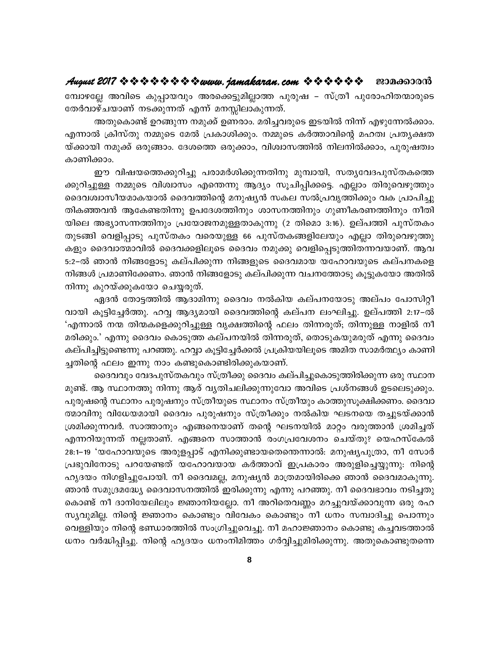മ്പോഴല്ലേ അവിടെ കുപ്പായവും അരക്കെട്ടുമില്ലാത്ത പുരുഷ – സ്ത്രീ പുരോഹിതന്മാരുടെ തേർവാഴ്ചയാണ് നടക്കുന്നത് എന്ന് മനസ്സിലാകുന്നത്.

അതുകൊണ്ട് ഉറങ്ങുന്ന നമുക്ക് ഉണരാം. മരിച്ചവരുടെ ഇടയിൽ നിന്ന് എഴുന്നേൽക്കാം. എന്നാൽ ക്രിസ്തു നമ്മുടെ മേൽ പ്രകാശിക്കും. നമ്മുടെ കർത്താവിന്റെ മഹത്വ പ്രത്യക്ഷത യ്ക്കായി നമുക്ക് ഒരുങ്ങാം. ദേശത്തെ ഒരുക്കാം, വിശ്വാസത്തിൽ നിലനിൽക്കാം, പുരുഷത്വം കാണിക്കാം.

ഈ വിഷയത്തെക്കുറിച്ചു പരാമർശിക്കുന്നതിനു മുമ്പായി, സതൃവേദപുസ്തകത്തെ ക്കുറിച്ചുള്ള നമ്മുടെ വിശ്വാസം എന്തെന്നു ആദ്യം സൂചിപ്പിക്കട്ടെ. എല്ലാം തിരുവെഴുത്തും ദൈവശ്വാസീയമാകയാൽ ദൈവത്തിന്റെ മനുഷ്യൻ സകല സൽപ്രവൃത്തിക്കും വക പ്രാപിച്ചു തികഞ്ഞവൻ ആകേണ്ടതിന്നു ഉപദേശത്തിനും ശാസനത്തിനും ഗുണീകരണത്തിനും നീതി യിലെ അഭ്യാസന്നത്തിനും പ്രയോജനമുള്ളതാകുന്നു (2 തിമൊ 3:16). ഉല്പത്തി പുസ്തകം തുടങ്ങി വെളിപ്പാടു പുസ്തകം വരെയുള്ള 66 പുസ്തകങ്ങളിലേയും എല്ലാ തിരുവെഴുത്തു കളും ദൈവാത്മാവിൽ ദൈവക്കളിലൂടെ ദൈവം നമുക്കു വെളിപ്പെടുത്തിതന്നവയാണ്. ആവ 5:2–ൽ ഞാൻ നിങ്ങളോടു കല്പിക്കുന്ന നിങ്ങളുടെ ദൈവമായ യഹോവയുടെ കല്പനകളെ നിങ്ങൾ പ്രമാണിക്കേണം. ഞാൻ നിങ്ങളോടു കല്പിക്കുന്ന വചനത്തോടു കൂട്ടുകയോ അതിൽ നിന്നു കുറയ്ക്കുകയോ ചെയ്യരുത്.

ഏദൻ തോട്ടത്തിൽ ആദാമിന്നു ദൈവം നൽകിയ കല്പനയോടു അല്പം പോസിറ്റീ വായി കൂട്ടിച്ചേർത്തു. ഹവ്വ ആദ്യമായി ദൈവത്തിന്റെ കല്പന ലംഘിച്ചു. ഉല്പത്തി 2:17–ൽ 'എന്നാൽ നന്മ തിന്മകളെക്കുറിച്ചുള്ള വൃക്ഷത്തിന്റെ ഫലം തിന്നരുത്; തിന്നുള്ള നാളിൽ നീ മരിക്കും.' എന്നു ദൈവം കൊടുത്ത കല്പനയിൽ തിന്നരുത്, തൊടുകയുമരുത് എന്നു ദൈവം കല്പിച്ചിട്ടുണ്ടെന്നു പറഞ്ഞു. ഹവ്വാ കൂട്ടിച്ചേർക്കൽ പ്രക്രിയയിലൂടെ അമിത സാമർത്ഥ്യം കാണി ച്ചതിന്റെ ഫലം ഇന്നു നാം കണ്ടുകൊണ്ടിരിക്കുകയാണ്.

ദൈവവും വേദപുസ്തകവും സ്ത്രീക്കു ദൈവം കല്പിച്ചുകൊടുത്തിരിക്കുന്ന ഒരു സ്ഥാന മുണ്ട്. ആ സ്ഥാനത്തു നിന്നു ആര് വ്യതിചലിക്കുന്നുവോ അവിടെ പ്രശ്നങ്ങൾ ഉടലെടുക്കും. പുരുഷന്റെ സ്ഥാനം പുരുഷനും സ്ത്രീയുടെ സ്ഥാനം സ്ത്രീയും കാത്തുസൂക്ഷിക്കണം. ദൈവാ ത്മാവിനു വിധേയമായി ദൈവം പുരുഷനും സ്ത്രീക്കും നൽകിയ ഘടനയെ തച്ചുടയ്ക്കാൻ ശ്രമിക്കുന്നവർ. സാത്താനും എങ്ങനെയാണ് തന്റെ ഘടനയിൽ മാറ്റം വരുത്താൻ ശ്രമിച്ചത് എന്നറിയുന്നത് നല്ലതാണ്. എങ്ങനെ സാത്താൻ രംഗപ്രവേശനം ചെയ്തു? യെഹസ്കേൽ 28:1–19 'യഹോവയുടെ അരുളപ്പാട് എനിക്കുണ്ടായതെന്തെന്നാൽ: മനുഷ്യപുത്രാ, നീ സോർ പ്രഭുവിനോടു പറയേണ്ടത് യഹോവയായ കർത്താവ് ഇപ്രകാരം അരുളിച്ചെയ്യുന്നു: നിന്റെ ഹൃദയം നിഗളിച്ചുപോയി. നീ ദൈവമല്ല, മനുഷ്യൻ മാത്രമായിരിക്കെ ഞാൻ ദൈവമാകുന്നു. ഞാൻ സമുദ്രമദ്ധ്യേ ദൈവാസനത്തിൽ ഇരിക്കുന്നു എന്നു പറഞ്ഞു. നീ ദൈവഭാവം നടിച്ചതു കൊണ്ട് നീ ദാനിയേലിലും ജ്ഞാനിയല്ലോ. നീ അറിതെവണ്ണം മറച്ചുവയ്ക്കാവുന്ന ഒരു രഹ സ്യവുമില്ല. നിന്റെ ജ്ഞാനം കൊണ്ടും വിവേകം കൊണ്ടും നീ ധനം സമ്പാദിച്ചു പൊന്നും വെള്ളിയും നിന്റെ ഭണ്ഡാരത്തിൽ സംഗ്രിച്ചുവെച്ചു. നീ മഹാജ്ഞാനം കൊണ്ടു കച്ചവടത്താൽ ധനം വർദ്ധിപ്പിച്ചു. നിന്റെ ഹൃദയം ധനംനിമിത്തം ഗർവ്വിച്ചുമിരിക്കുന്നു. അതുകൊണ്ടുതന്നെ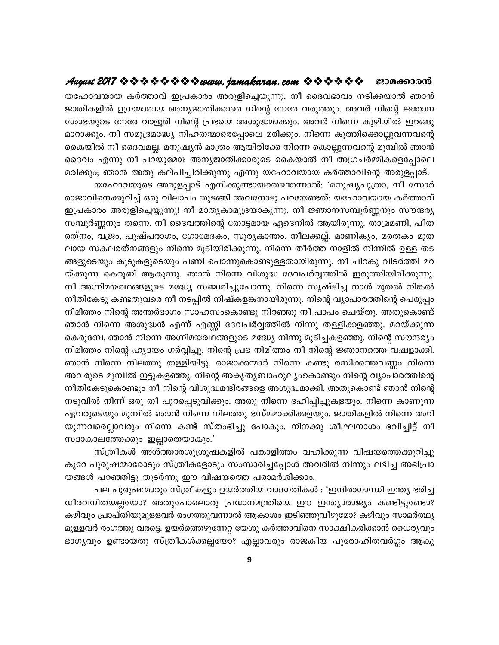### August 2017 \* \* \* \* \* \* \* \* \* www.jamakaran.com \* \* \* \* \* \* \* ജാമക്കാരൻ

യഹോവയായ കർത്താവ് ഇപ്രകാരം അരുളിച്ചെയുന്നു. നീ ദൈവഭാവം നടിക്കയാൽ ഞാൻ ജാതികളിൽ ഉഗ്രന്മാരായ അന്യജാതിക്കാരെ നിന്റെ നേരേ വരുത്തും. അവർ നിന്റെ ജ്ഞാന ശോഭയുടെ നേരേ വാളൂരി നിന്റെ പ്രഭയെ അശുദ്ധമാക്കും. അവർ നിന്നെ കുഴിയിൽ ഇറങ്ങു മാറാക്കും. നീ സമുദ്രമദ്ധ്യേ നിഹതന്മാരെപ്പോലെ മരിക്കും. നിന്നെ കുത്തിക്കൊല്ലുവന്നവന്റെ കൈയിൽ നീ ദൈവമല്ല. മനുഷ്യൻ മാത്രം ആയിരിക്കേ നിന്നെ കൊല്ലുന്നവന്റെ മുമ്പിൽ ഞാൻ ദൈവം എന്നു നീ പറയുമോ? അന്യജാതിക്കാരുടെ കൈയാൽ നീ അഗ്രചർമ്മികളെപ്പോലെ മരിക്കും; ഞാൻ അതു കല്പിച്ചിരിക്കുന്നു എന്നു യഹോവയായ കർത്താവിന്റെ അരുളപ്പാട്.

യഹോവയുടെ അരുളപ്പാട് എനിക്കുണ്ടായതെന്തെന്നാൽ: 'മനുഷ്യപുത്രാ, നീ സോർ രാജാവിനെക്കുറിച്ച് ഒരു വിലാപം തുടങ്ങി അവനോടു പറയേണ്ടത്. യഹോവയായ കർത്താവ് ഇപ്രകാരം അരുളിച്ചെയ്യുന്നു! നീ മാതൃകാമുദ്രയാകുന്നു. നീ ജ്ഞാനസമ്പൂർണ്ണനും സൗന്ദര്യ സമ്പൂർണ്ണനും തന്നെ. നീ ദൈവത്തിന്റെ തോട്ടമായ ഏദെനിൽ ആയിരുന്നു. താമ്രമണി, പീത രത്നം, വജ്രം, പുഷ്പരാഗം, ഗോമേദകം, സൂര്യകാന്തം, നീലക്കല്ല്, മാണികൃം, മരതകം മുത ലായ സകലരത്നങ്ങളും നിന്നെ മൂടിയിരിക്കുന്നു. നിന്നെ തീർത്ത നാളിൽ നിന്നിൽ ഉള്ള തട ങ്ങളുടെയും കൂടുകളുടെയും പണി പൊന്നുകൊണ്ടുള്ളതായിരുന്നു. നീ ചിറകു വിടർത്തി മറ യ്ക്കുന്ന കെരൂബ് ആകുന്നു. ഞാൻ നിന്നെ വിശുദ്ധ ദേവപർവ്വത്തിൽ ഇരുത്തിയിരിക്കുന്നു. നീ അഗ്നിമയരഥങ്ങളുടെ മദ്ധ്യേ സഞ്ചരിച്ചുപോന്നു. നിന്നെ സൃഷ്ടിച്ച നാൾ മുതൽ നിങ്കൽ നീതികേടു കണ്ടതുവരെ നീ നടപ്പിൽ നിഷ്കളങ്കനായിരുന്നു. നിന്റെ വ്യാപാരത്തിന്റെ പെരുപ്പം നിമിത്തം നിന്റെ അന്തർഭാഗം സാഹസംകൊണ്ടു നിറഞ്ഞു നീ പാപം ചെയ്തു. അതുകൊണ്ട് ഞാൻ നിന്നെ അശുദ്ധൻ എന്ന് എണ്ണി ദേവപർവ്വത്തിൽ നിന്നു തള്ളിക്കളഞ്ഞു. മറയ്ക്കുന്ന കെരൂബേ, ഞാൻ നിന്നെ അഗ്നിമയരഥങ്ങളുടെ മദ്ധ്യേ നിന്നു മുടിച്ചകളഞ്ഞു. നിന്റെ സൗന്ദര്യം നിമിത്തം നിന്റെ ഹൃദയം ഗർവ്വിച്ചു. നിന്റെ പ്രഭ നിമിത്തം നീ നിന്റെ ജ്ഞാനത്തെ വഷളാക്കി. ഞാൻ നിന്നെ നിലത്തു തള്ളിയിട്ടു. രാജാക്കന്മാർ നിന്നെ കണ്ടു രസിക്കത്തവണ്ണം നിന്നെ അവരുടെ മുമ്പിൽ ഇട്ടുകളഞ്ഞു. നിന്റെ അകൃതൃബാഹുല്യംകൊണ്ടും നിന്റെ വ്യാപാരത്തിന്റെ നീതികേടുകൊണ്ടും നീ നിന്റെ വിശുദ്ധമന്ദിരങ്ങളെ അശുദ്ധമാക്കി. അതുകൊണ്ട് ഞാൻ നിന്റെ നടുവിൽ നിന്ന് ഒരു തീ പുറപ്പെടുവിക്കും. അതു നിന്നെ ദഹിപ്പിച്ചുകളയും. നിന്നെ കാണുന്ന ഏവരുടെയും മുമ്പിൽ ഞാൻ നിന്നെ നിലത്തു ഭസ്മമാക്കിക്കളയും. ജാതികളിൽ നിന്നെ അറി യുന്നവരെല്ലാവരും നിന്നെ കണ്ട് സ്തംഭിച്ചു പോകും. നിനക്കു ശീഘ്രനാശം ഭവിച്ചിട്ട് നീ സദാകാലത്തേക്കും ഇല്ലാതെയാകും.'

സ്ത്രീകൾ അൾത്താരശുശ്രൂഷകളിൽ പങ്കാളിത്തം വഹിക്കുന്ന വിഷയത്തെക്കുറിച്ചു കുറേ പുരുഷന്മാരോടും സ്ത്രീകളോടും സംസാരിച്ചപ്പോൾ അവരിൽ നിന്നും ലഭിച്ച അഭിപ്രാ യങ്ങൾ പറഞ്ഞിട്ടു തുടർന്നു ഈ വിഷയത്തെ പരാമർശിക്കാം.

പല പുരുഷന്മാരും സ്ത്രീകളും ഉയർത്തിയ വാദഗതികൾ : 'ഇന്ദിരാഗാന്ധി ഇന്ത്യ ഭരിച്ച ധീരവനിതയല്ലയോ? അതുപോലൊരു പ്രധാനമന്ത്രിയെ ഈ ഇന്ത്യാരാജ്യം കണ്ടിട്ടുണ്ടോ? കഴിവും പ്രാപ്തിയുമുള്ളവർ രംഗത്തുവന്നാൽ ആകാശം ഇടിഞ്ഞുവീഴുമോ? കഴിവും സാമർത്ഥ്യ മുള്ളവർ രംഗത്തു വരട്ടെ. ഉയർത്തെഴുന്നേറ്റ യേശു കർത്താവിനെ സാക്ഷീകരിക്കാൻ ധൈര്യവും ഭാഗ്യവും ഉണ്ടായതു സ്ത്രീകൾക്കല്ലയോ? എല്ലാവരും രാജകീയ പുരോഹിതവർഗ്ഗം ആകു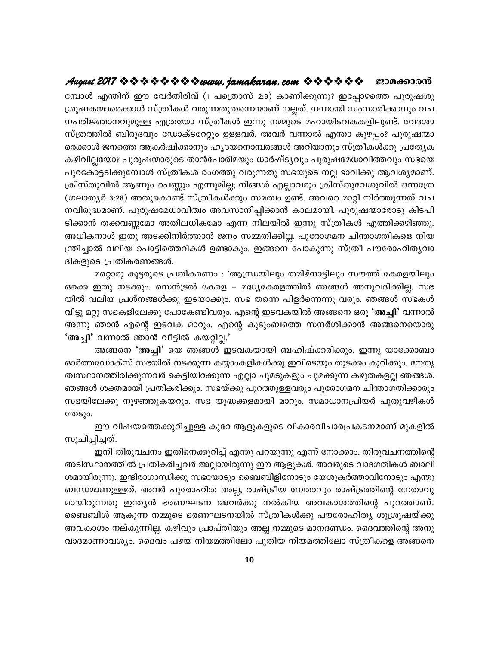മ്പോൾ എന്തിന് ഈ വേർതിരിവ് (1 പത്രൊസ് 2:9) കാണിക്കുന്നു? ഇപ്പോഴത്തെ പുരുഷശു ശ്രൂഷകന്മാരെക്കാൾ സ്ത്രീകൾ വരുന്നതുതന്നെയാണ് നല്ലത്. നന്നായി സംസാരിക്കാനും വച നപരിജ്ഞാനവുമുള്ള എത്രയോ സ്ത്രീകൾ ഇന്നു നമ്മുടെ മഹായിടവകകളിലുണ്ട്. വേദശാ സ്ത്രത്തിൽ ബിരുദവും ഡോക്ടറേറ്റും ഉള്ളവർ. അവർ വന്നാൽ എന്താ കുഴപ്പം? പുരുഷന്മാ രെക്കാൾ ജനത്തെ ആകർഷിക്കാനും ഹൃദയനൊമ്പരങ്ങൾ അറിയാനും സ്ത്രീകൾക്കു പ്രത്യേക കഴിവില്ലയോ? പുരുഷന്മാരുടെ താൻപോരിമയും ധാർഷ്ട്യവും പുരുഷമേധാവിത്തവും സഭയെ പുറകോട്ടടിക്കുമ്പോൾ സ്ത്രീകൾ രംഗത്തു വരുന്നതു സഭയുടെ നല്ല ഭാവിക്കു ആവശ്യമാണ്. ക്രിസ്തുവിൽ ആണും പെണ്ണും എന്നുമില്ല; നിങ്ങൾ എല്ലാവരും ക്രിസ്തുവേശുവിൽ ഒന്നത്രേ (ഗലാതൃർ 3:28) അതുകൊണ്ട് സ്ത്രീകൾക്കും സമത്വം ഉണ്ട്. അവരെ മാറ്റി നിർത്തുന്നത് വച നവിരുദ്ധമാണ്. പുരുഷമേധാവിത്വം അവസാനിപ്പിക്കാൻ കാലമായി. പുരുഷന്മാരോടു കിടപി ടിക്കാൻ തക്കവണ്ണമോ അതിലധികമോ എന്ന നിലയിൽ ഇന്നു സ്ത്രീകൾ എത്തിക്കഴിഞ്ഞു. അധികനാൾ ഇതു അടക്കിനിർത്താൻ ജനം സമ്മതിക്കില്ല. പുരോഗമന ചിന്താഗതികളെ നിയ ന്ത്രിച്ചാൽ വലിയ പൊട്ടിത്തെറികൾ ഉണ്ടാകും. ഇങ്ങനെ പോകുന്നു സ്ത്രീ പൗരോഹിതൃവാ ദികളുടെ പ്രതികരണങ്ങൾ.

മറ്റൊരു കൂട്ടരുടെ പ്രതികരണം : 'ആന്ധ്രയിലും തമിഴ്നാട്ടിലും സൗത്ത് കേരളയിലും ഒക്കെ ഇതു നടക്കും. സെൻട്രൽ കേരള – മദ്ധ്യകേരളത്തിൽ ഞങ്ങൾ അനുവദിക്കില്ല. സഭ യിൽ വലിയ പ്രശ്നങ്ങൾക്കു ഇടയാക്കും. സഭ തന്നെ പിളർന്നെന്നു വരും. ഞങ്ങൾ സഭകൾ വിട്ടു മറ്റു സഭകളിലേക്കു പോകേണ്ടിവരും. എന്റെ ഇടവകയിൽ അങ്ങനെ ഒരു 'അച്ചി' വന്നാൽ അന്നു ഞാൻ എന്റെ ഇടവക മാറും. എന്റെ കുടുംബത്തെ സന്ദർശിക്കാൻ അങ്ങനെയൊരു 'അച്ചി' വന്നാൽ ഞാൻ വീട്ടിൽ കയറ്റില്ല.'

അങ്ങനെ 'അച്ചി' യെ ഞങ്ങൾ ഇടവകയായി ബഹിഷ്ക്കരിക്കും. ഇന്നു യാക്കോബാ ഓർത്തഡോക്സ് സഭയിൽ നടക്കുന്ന കയ്യാംകളികൾക്കു ഇവിടെയും തുടക്കം കുറിക്കും. നേതൃ ത്വസ്ഥാനത്തിരിക്കുന്നവർ കെട്ടിയിറക്കുന്ന എല്ലാ ചുമടുകളും ചുമക്കുന്ന കഴുതകളല്ല ഞങ്ങൾ. ഞങ്ങൾ ശക്തമായി പ്രതികരിക്കും. സഭയ്ക്കു പുറത്തുള്ളവരും പുരോഗമന ചിന്താഗതിക്കാരും സഭയിലേക്കു നുഴഞ്ഞുകയറും. സഭ യുദ്ധക്കളമായി മാറും. സമാധാനപ്രിയർ പുതുവഴികൾ തേടും.

ഈ വിഷയത്തെക്കുറിച്ചുള്ള കുറേ ആളുകളുടെ വികാരവിചാരപ്രകടനമാണ് മുകളിൽ സൂചിപ്പിച്ചത്.

ഇനി തിരുവചനം ഇതിനെക്കുറിച്ച് എന്തു പറയുന്നു എന്ന് നോക്കാം. തിരുവചനത്തിന്റെ അടിസ്ഥാനത്തിൽ പ്രതികരിച്ചവർ അല്ലായിരുന്നു ഈ ആളുകൾ. അവരുടെ വാദഗതികൾ ബാലി ശമായിരുന്നു. ഇന്ദിരാഗാന്ധിക്കു സഭയോടും ബൈബിളിനോടും യേശുകർത്താവിനോടും എന്തു ബന്ധമാണുള്ളത്. അവർ പുരോഹിത അല്ല, രാഷ്ട്രീയ നേതാവും രാഷ്ട്രത്തിന്റെ നേതാവു മായിരുന്നതു ഇന്ത്യൻ ഭരണഘടന അവർക്കു നൽകിയ അവകാശത്തിന്റെ പുറത്താണ്. ബൈബിൾ ആകുന്ന നമ്മുടെ ഭരണഘടനയിൽ സ്ത്രീകൾക്കു പൗരോഹിത്യ ശുശ്രൂഷയ്ക്കു അവകാശം നല്കുന്നില്ല. കഴിവും പ്രാപ്തിയും അല്ല നമ്മുടെ മാനദണ്ഡം. ദൈവത്തിന്റെ അനു വാദമാണാവശ്യം. ദൈവം പഴയ നിയമത്തിലോ പുതിയ നിയമത്തിലോ സ്ത്രീകളെ അങ്ങനെ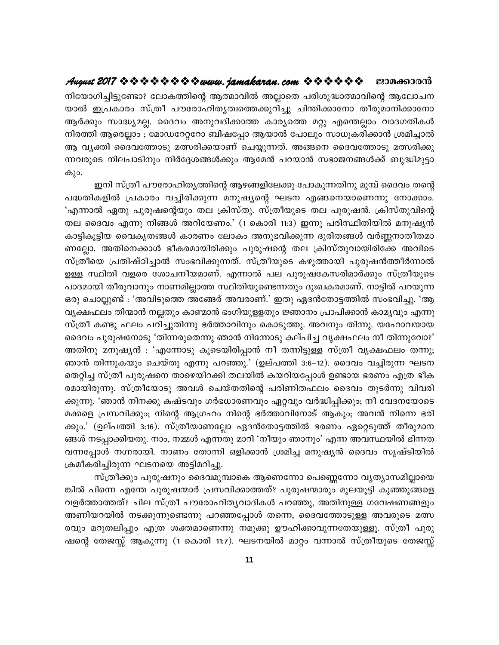നിയോഗിച്ചിട്ടുണ്ടോ? ലോകത്തിന്റെ ആത്മാവിൽ അല്ലാതെ പരിശുദ്ധാത്മാവിന്റെ ആലോചന യാൽ ഇപ്രകാരം സ്ത്രീ പൗരോഹിതൃത്വത്തെക്കുറിച്ചു ചിന്തിക്കാനോ തീരുമാനിക്കാനോ ആർക്കും സാദ്ധ്യമല്ല. ദൈവം അനുവദിക്കാത്ത കാര്യത്തെ മറ്റു എന്തെല്ലാം വാദഗതികൾ നിരത്തി ആരെല്ലാം ; മോഡറേറ്ററോ ബിഷപ്പോ ആയാൽ പോലും സാധൂകരിക്കാൻ ശ്രമിച്ചാൽ ആ വൃക്തി ദൈവത്തോടു മത്സരിക്കയാണ് ചെയ്യുന്നത്. അങ്ങനെ ദൈവത്തോടു മത്സരിക്കു ന്നവരുടെ നിലപാടിനും നിർദ്ദേശങ്ങൾക്കും ആമേൻ പറയാൻ സഭാജനങ്ങൾക്ക് ബുദ്ധിമുട്ടാ കും.

ഇനി സ്ത്രീ പൗരോഹിത്യത്തിന്റെ ആഴങ്ങളിലേക്കു പോകുന്നതിനു മുമ്പ് ദൈവം തന്റെ പദ്ധതികളിൽ പ്രകാരം വച്ചിരിക്കുന്ന മനുഷ്യന്റെ ഘടന എങ്ങനെയാണെന്നു നോക്കാം. 'എന്നാൽ ഏതു പുരുഷന്റെയും തല ക്രിസ്തു. സ്ത്രീയുടെ തല പുരുഷൻ. ക്രിസ്തുവിന്റെ തല ദൈവം എന്നു നിങ്ങൾ അറിയേണം.' (1 കൊരി 11:3) ഇന്നു പരിസ്ഥിതിയിൽ മനുഷ്യൻ കാട്ടികൂട്ടിയ വൈകൃതങ്ങൾ കാരണം ലോകം അനുഭവിക്കുന്ന ദുരിതങ്ങൾ വർണ്ണനാതീതമാ ണല്ലോ. അതിനെക്കാൾ ഭീകരമായിരിക്കും പുരുഷന്റെ തല ക്രിസ്തുവായിരിക്കേ അവിടെ സ്ത്രീയെ പ്രതിഷ്ഠിച്ചാൽ സംഭവിക്കുന്നത്. സ്ത്രീയുടെ കഴുത്തായി പുരുഷൻത്തീർന്നാൽ ഉള്ള സ്ഥിതി വളരെ ശോചനീയമാണ്. എന്നാൽ പല പുരുഷകേസരിമാർക്കും സ്ത്രീയുടെ പാദമായി തീരുവാനും നാണമില്ലാത്ത സ്ഥിതിയുണ്ടെന്നതും ദുഃഖകരമാണ്. നാട്ടിൽ പറയുന്ന ഒരു ചൊല്ലുണ്ട് : 'അവിടുത്തെ അങ്ങേര് അവരാണ്.' ഇതു ഏദൻതോട്ടത്തിൽ സംഭവിച്ചു. 'ആ വൃക്ഷഫലം തിന്മാൻ നല്ലതും കാണ്മാൻ ഭംഗിയുളളതും ജ്ഞാനം പ്രാപിക്കാൻ കാമൃവും എന്നു സ്ത്രീ കണ്ടു ഫലം പറിച്ചുതിന്നു ഭർത്താവിനും കൊടുത്തു. അവനും തിന്നു. യഹോവയായ ദൈവം പുരുഷനോടു 'തിന്നരുതെന്നു ഞാൻ നിന്നോടു കല്പിച്ച വൃക്ഷഫലം നീ തിന്നുവോ?' അതിനു മനുഷ്യൻ : 'എന്നോടു കൂടെയിരിപ്പാൻ നീ തന്നിട്ടുള്ള സ്ത്രീ വൃക്ഷഫലം തന്നു; ഞാൻ തിന്നുകയും ചെയ്തു എന്നു പറഞ്ഞു.' (ഉല്പത്തി 3:6–12). ദൈവം വച്ചിരുന്ന ഘടന തെറ്റിച്ച സ്ത്രീ പുരുഷനെ താഴെയിറക്കി തലയിൽ കയറിയപ്പോൾ ഉണ്ടായ ഭരണം എത്ര ഭീക രമായിരുന്നു. സ്ത്രീയോടു അവൾ ചെയ്തതിന്റെ പരിണിതഫലം ദൈവം തുടർന്നു വിവരി ക്കുന്നു. 'ഞാൻ നിനക്കു കഷ്ടവും ഗർഭധാരണവും ഏറ്റവും വർദ്ധിപ്പിക്കും; നീ വേദനയോടെ മക്കളെ പ്രസവിക്കും; നിന്റെ ആഗ്രഹം നിന്റെ ഭർത്താവിനോട് ആകും; അവൻ നിന്നെ ഭരി ക്കും.' (ഉല്പത്തി 3:16). സ്ത്രീയാണല്ലോ ഏദൻതോട്ടത്തിൽ ഭരണം ഏറ്റെടുത്ത് തീരുമാന ങ്ങൾ നടപ്പാക്കിയതു. നാം, നമ്മൾ എന്നതു മാറി 'നീയും ഞാനും' എന്ന അവസ്ഥയിൽ ഭിന്നത വന്നപ്പോൾ നഗ്നരായി. നാണം തോന്നി ഒളിക്കാൻ ശ്രമിച്ച മനുഷ്യൻ ദൈവം സൃഷ്ടിയിൽ ക്രമീകരിച്ചിരുന്ന ഘടനയെ അട്ടിമറിച്ചു.

സ്ത്രീക്കും പുരുഷനും ദൈവമുമ്പാകെ ആണെന്നോ പെണ്ണെന്നോ വ്യത്യാസമില്ലായെ ങ്കിൽ പിന്നെ എന്തേ പുരുഷന്മാർ പ്രസവിക്കാത്തത്? പുരുഷന്മാരും മുലയൂട്ടി കുഞ്ഞുങ്ങളെ വളർത്താത്തത്? ചില സ്ത്രീ പൗരോഹിതൃവാദികൾ പറഞ്ഞു, അതിനുള്ള ഗവേഷണങ്ങളും അണിയറയിൽ നടക്കുന്നുണ്ടെന്നു പറഞ്ഞപ്പോൾ തന്നെ, ദൈവത്തോടുള്ള അവരുടെ മത്സ രവും മറുതലിപ്പും എത്ര ശക്തമാണെന്നു നമുക്കു ഊഹിക്കാവുന്നതേയുള്ളൂ. സ്ത്രീ പുരു ഷന്റെ തേജസ്സ് ആകുന്നു (1 കൊരി 11:7). ഘടനയിൽ മാറ്റം വന്നാൽ സ്ത്രീയുടെ തേജസ്സ്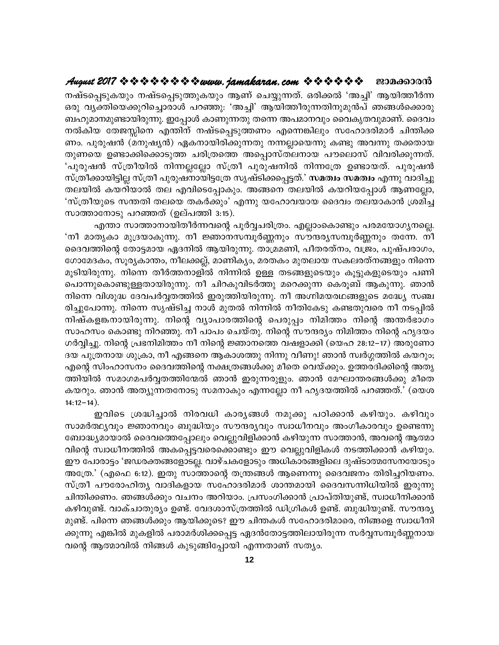### August 2017 \* \* \* \* \* \* \* \* \* www.jamakaran.com \* \* \* \* \* \* \* ജാമക്കാരൻ

നഷ്ടപ്പെടുകയും നഷ്ടപ്പെടുത്തുകയും ആണ് ചെയ്യുന്നത്. ഒരിക്കൽ 'അച്ചി' ആയിത്തീർന്ന ഒരു വ്യക്തിയെക്കുറിച്ചൊരാൾ പറഞ്ഞു: 'അച്ചി' ആയിത്തീരുന്നതിനുമുൻപ് ഞങ്ങൾക്കൊരു ബഹുമാനമുണ്ടായിരുന്നു. ഇപ്പോൾ കാണുന്നതു തന്നെ അപമാനവും വൈകൃതവുമാണ്. ദൈവം നൽകിയ തേജസ്സിനെ എന്തിന് നഷ്ടപ്പെടുത്തണം എന്നെങ്കിലും സഹോദരിമാർ ചിന്തിക്ക ണം. പുരുഷൻ (മനുഷ്യൻ) ഏകനായിരിക്കുന്നതു നന്നല്ലായെന്നു കണ്ടു അവന്നു തക്കതായ തുണയെ ഉണ്ടാക്കിക്കൊടുത്ത ചരിത്രത്തെ അപ്പൊസ്തലനായ പൗലൊസ് വിവരിക്കുന്നത്. 'പുരുഷൻ സ്ത്രീയിൽ നിന്നല്ലലോ സ്ത്രീ പുരുഷനിൽ നിന്നത്രേ ഉണ്ടായത്. പുരുഷൻ സ്ത്രീക്കായിട്ടില്ല സ്ത്രീ പുരുഷനായിട്ടത്രേ സൃഷ്ടിക്കപ്പെട്ടത്.' സമത്വം സമത്വം എന്നു വാദിച്ചു തലയിൽ കയറിയാൽ തല എവിടെപ്പോകും. അങ്ങനെ തലയിൽ കയറിയപ്പോൾ ആണല്ലോ, 'സ്ത്രീയുടെ സന്തതി തലയെ തകർക്കും' എന്നു യഹോവയായ ദൈവം തലയാകാൻ ശ്രമിച്ച സാത്താനോടു പറഞ്ഞത് (ഉല്പത്തി 3:15).

എന്താ സാത്താനായിതീർന്നവന്റെ പൂർവ്വചരിത്രം. എല്ലാംകൊണ്ടും പരമയോഗൃനല്ലെ. 'നീ മാതൃകാ മുദ്രയാകുന്നു. നീ ജ്ഞാനസമ്പൂർണ്ണനും സൗന്ദര്യസമ്പൂർണ്ണനും തന്നേ. നീ ദൈവത്തിന്റെ തോട്ടമായ ഏദനിൽ ആയിരുന്നു. താമ്രമണി, പീതരത്നം, വജ്രം, പുഷ്പരാഗം, ഗോമേദകം, സൂര്യകാന്തം, നീലക്കല്ല്, മാണിക്യം, മരതകം മുതലായ സകലരത്നങ്ങളും നിന്നെ മൂടിയിരുന്നു. നിന്നെ തീർത്തനാളിൽ നിന്നിൽ ഉള്ള തടങ്ങളുടെയും കൂട്ടുകളുടെയും പണി പൊന്നുകൊണ്ടുള്ളതായിരുന്നു. നീ ചിറകുവിടർത്തു മറെക്കുന്ന കെരൂബ് ആകുന്നു. ഞാൻ നിന്നെ വിശുദ്ധ ദേവപർവ്വതത്തിൽ ഇരുത്തിയിരുന്നു. നീ അഗ്നിമയരഥങ്ങളുടെ മദ്ധ്യേ സഞ്ച രിച്ചുപോന്നു. നിന്നെ സൃഷ്ടിച്ച നാൾ മുതൽ നിന്നിൽ നീതികേടു കണ്ടതുവരെ നീ നടപ്പിൽ നിഷ്കളങ്കനായിരുന്നു. നിന്റെ വ്യാപാരത്തിന്റെ പെരുപ്പം നിമിത്തം നിന്റെ അന്തർഭാഗം സാഹസം കൊണ്ടു നിറഞ്ഞു. നീ പാപം ചെയ്തു. നിന്റെ സൗന്ദര്യം നിമിത്തം നിന്റെ ഹൃദയം ഗർവ്വിച്ചു. നിന്റെ പ്രഭനിമിത്തം നീ നിന്റെ ജ്ഞാനത്തെ വഷളാക്കി (യെഹ 28:12–17) അരുണോ ദയ പുത്രനായ ശുക്രാ, നീ എങ്ങനെ ആകാശത്തു നിന്നു വീണു! ഞാൻ സ്വർഗ്ഗത്തിൽ കയറും; എന്റെ സിംഹാസനം ദൈവത്തിന്റെ നക്ഷത്രങ്ങൾക്കു മീതെ വെയ്ക്കും. ഉത്തരദിക്കിന്റെ അതൃ ത്തിയിൽ സമാഗമപർവ്വതത്തിന്മേൽ ഞാൻ ഇരുന്നരുളും. ഞാൻ മേഘാന്തരങ്ങൾക്കു മീതെ കയറും. ഞാൻ അത്യുന്നതനോടു സമനാകും എന്നല്ലോ നീ ഹൃദയത്തിൽ പറഞ്ഞത്.' (യെശ  $14:12-14$ ).

ഇവിടെ ശ്രദ്ധിച്ചാൽ നിരവധി കാര്യങ്ങൾ നമുക്കു പഠിക്കാൻ കഴിയും. കഴിവും സാമർത്ഥ്യവും ജ്ഞാനവും ബുദ്ധിയും സൗന്ദര്യവും സ്വാധീനവും അംഗീകാരവും ഉണ്ടെന്നു ബോദ്ധ്യമായാൽ ദൈവത്തെപ്പോലും വെല്ലുവിളിക്കാൻ കഴിയുന്ന സാത്താൻ, അവന്റെ ആത്മാ വിന്റെ സ്വാധീനത്തിൽ അകപ്പെട്ടവരെക്കൊണ്ടും ഈ വെല്ലുവിളികൾ നടത്തിക്കാൻ കഴിയും. ഈ പോരാട്ടം 'ജഡരക്തങ്ങളോടല്ല. വാഴ്ചകളോടും അധികാരങ്ങളിലെ ദുഷ്ടാത്മസേനയോടും അത്രേ.' (എഫെ 6:12). ഇതു സാത്താന്റെ തന്ത്രങ്ങൾ ആണെന്നു ദൈവജനം തിരിച്ചറിയണം. സ്ത്രീ പൗരോഹിത്യ വാദികളായ സഹോദരിമാർ ശാന്തമായി ദൈവസന്നിധിയിൽ ഇരുന്നു ചിന്തിക്കണം. ഞങ്ങൾക്കും വചനം അറിയാം. പ്രസംഗിക്കാൻ പ്രാപ്തിയുണ്ട്, സ്വാധീനിക്കാൻ കഴിവുണ്ട്. വാക്ചാതുര്യം ഉണ്ട്. വേദശാസ്ത്രത്തിൽ ഡിഗ്രികൾ ഉണ്ട്. ബുദ്ധിയുണ്ട്. സൗന്ദര്യ മുണ്ട്. പിന്നെ ഞങ്ങൾക്കും ആയിക്കൂടെ? ഈ ചിന്തകൾ സഹോദരിമാരെ, നിങ്ങളെ സ്വാധീനി ക്കുന്നു എങ്കിൽ മുകളിൽ പരാമർശിക്കപ്പെട്ട ഏദൻതോട്ടത്തിലായിരുന്ന സർവ്വസമ്പൂർണ്ണനായ വന്റെ ആത്മാവിൽ നിങ്ങൾ കുടുങ്ങിപ്പോയി എന്നതാണ് സത്യം.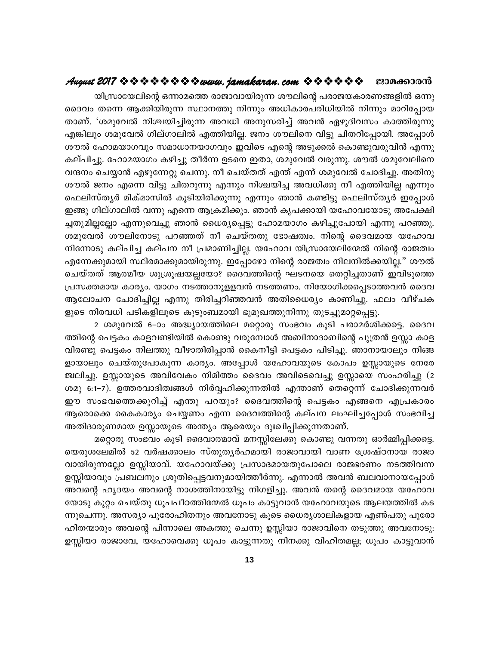### ജാമക്കാരൻ

യിസ്രായേലിന്റെ ഒന്നാമത്തെ രാജാവായിരുന്ന ശൗലിന്റെ പരാജയകാരണങ്ങളിൽ ഒന്നു ദൈവം തന്നെ ആക്കിയിരുന്ന സ്ഥാനത്തു നിന്നും അധികാരപരിധിയിൽ നിന്നും മാറിപ്പോയ താണ്. 'ശമുവേൽ നിശ്ചയിച്ചിരുന്ന അവധി അനുസരിച്ച് അവൻ ഏഴുദിവസം കാത്തിരുന്നു എങ്കിലും ശമുവേൽ ഗില്ഗാലിൽ എത്തിയില്ല. ജനം ശൗലിനെ വിട്ടു ചിതറിപ്പോയി. അപ്പോൾ ശൗൽ ഹോമയാഗവും സമാധാനയാഗവും ഇവിടെ എന്റെ അടുക്കൽ കൊണ്ടുവരുവിൻ എന്നു കല്പിച്ചു. ഹോമയാഗം കഴിച്ചു തീർന്ന ഉടനെ ഇതാ, ശമുവേൽ വരുന്നു. ശൗൽ ശമുവേലിനെ വന്ദനം ചെയ്യാൻ എഴുന്നേറ്റു ചെന്നു. നീ ചെയ്തത് എന്ത് എന്ന് ശമുവേൽ ചോദിച്ചു. അതിനു ശൗൽ ജനം എന്നെ വിട്ടു ചിതറുന്നു എന്നും നിശ്ചയിച്ച അവധിക്കു നീ എത്തിയില്ല എന്നും ഫെലിസ്ത്യർ മിക്മാസിൽ കൂടിയിരിക്കുന്നു എന്നും ഞാൻ കണ്ടിട്ടു ഫെലിസ്ത്യർ ഇപ്പോൾ ഇങ്ങു ഗില്ഗാലിൽ വന്നു എന്നെ ആക്രമിക്കും. ഞാൻ കൃപക്കായി യഹോവയോടു അപേക്ഷി ച്ചതുമില്ലല്ലോ എന്നുവെച്ചു ഞാൻ ധൈര്യപ്പെട്ടു ഹോമയാഗം കഴിച്ചുപോയി എന്നു പറഞ്ഞു. ശമുവേൽ ശൗലിനോടു പറഞ്ഞത് നീ ചെയ്തതു ഭോഷത്വം. നിന്റെ ദൈവമായ യഹോവ നിന്നോടു കല്പിച്ച കല്പന നീ പ്രമാണിച്ചില്ല. യഹോവ യിസ്രായേലിന്മേൽ നിന്റെ രാജത്വം എന്നേക്കുമായി സ്ഥിരമാക്കുമായിരുന്നു. ഇപ്പോഴോ നിന്റെ രാജത്വം നിലനിൽക്കയില്ല." ശൗൽ ചെയ്തത് ആത്മീയ ശുശ്രൂഷയല്ലയോ? ദൈവത്തിന്റെ ഘടനയെ തെറ്റിച്ചതാണ് ഇവിടുത്തെ പ്രസക്തമായ കാര്യം. യാഗം നടത്താനുളളവൻ നടത്തണം. നിയോഗിക്കപ്പെടാത്തവൻ ദൈവ ആലോചന ചോദിച്ചില്ല എന്നു തിരിച്ചറിഞ്ഞവൻ അതിധൈര്യം കാണിച്ചു. ഫലം വീഴ്ചക ളുടെ നിരവധി പടികളിലൂടെ കുടുംബമായി ഭൂമുഖത്തുനിന്നു തുടച്ചുമാറ്റപ്പെട്ടു.

2 ശമുവേൽ 6–ാം അദ്ധ്യായത്തിലെ മറ്റൊരു സംഭവം കൂടി പരാമർശിക്കട്ടെ. ദൈവ ത്തിന്റെ പെട്ടകം കാളവണ്ടിയിൽ കൊണ്ടു വരുമ്പോൾ അബിനാദാബിന്റെ പുത്രൻ ഉസ്സാ കാള വിരണ്ടു പെട്ടകം നിലത്തു വീഴാതിരിപ്പാൻ കൈനീട്ടി പെട്ടകം പിടിച്ചു. ഞാനായാലും നിങ്ങ ളായാലും ചെയ്തുപോകുന്ന കാര്യം. അപ്പോൾ യഹോവയുടെ കോപം ഉസ്സായുടെ നേരേ ജ്വലിച്ചു. ഉസ്സായുടെ അവിവേകം നിമിത്തം ദൈവം അവിടെവെച്ചു ഉസ്സായെ സംഹരിച്ചു (2 ശമു 6:1–7). ഉത്തരവാദിത്വങ്ങൾ നിർവ്വഹിക്കുന്നതിൽ എന്താണ് തെറ്റെന്ന് ചോദിക്കുന്നവർ ഈ സംഭവത്തെക്കുറിച്ച് എന്തു പറയും? ദൈവത്തിന്റെ പെട്ടകം എങ്ങനെ എപ്രകാരം ആരൊക്കെ കൈകാര്യം ചെയ്യണം എന്ന ദൈവത്തിന്റെ കല്പന ലംഘിച്ചപ്പോൾ സംഭവിച്ച അതിദാരുണമായ ഉസ്സായുടെ അന്ത്യം ആരെയും ദുഃഖിപ്പിക്കുന്നതാണ്.

മറ്റൊരു സംഭവം കൂടി ദൈവാത്മാവ് മനസ്സിലേക്കു കൊണ്ടു വന്നതു ഓർമ്മിപ്പിക്കട്ടെ. യെരുശലേമിൽ 52 വർഷക്കാലം സ്തുതൃർഹമായി രാജാവായി വാണ ശ്രേഷ്ഠനായ രാജാ വായിരുന്നല്ലോ ഉസ്സിയാവ്. യഹോവയ്ക്കു പ്രസാദമായതുപോലെ രാജഭരണം നടത്തിവന്ന ഉസ്സിയാവും പ്രബലനും ശ്രുതിപ്പെട്ടവനുമായിത്തീർന്നു. എന്നാൽ അവൻ ബലവാനായപ്പോൾ അവന്റെ ഹൃദയം അവന്റെ നാശത്തിനായിട്ടു നിഗളിച്ചു. അവൻ തന്റെ ദൈവമായ യഹോവ യോടു കുറ്റം ചെയ്തു ധൂപപീഠത്തിന്മേൽ ധൂപം കാട്ടുവാൻ യഹോവയുടെ ആലയത്തിൽ കട ന്നുചെന്നു. അസര്യാ പുരോഹിതനും അവനോടു കൂടെ ധൈര്യശാലികളായ എൺപതു പുരോ ഹിതന്മാരും അവന്റെ പിന്നാലെ അകത്തു ചെന്നു ഉസ്സിയാ രാജാവിനെ തടുത്തു അവനോടു: ഉസ്സിയാ രാജാവേ, യഹോവെക്കു ധൂപം കാട്ടുന്നതു നിനക്കു വിഹിതമല്ല; ധൂപം കാട്ടുവാൻ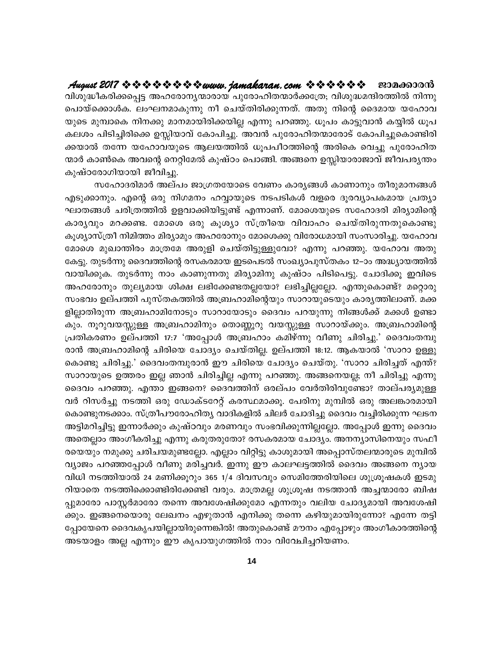August 2017 & & & & & & & wuvu. jamakaran.com & & & & & & ജാമക്കാരൻ വിശുദ്ധീകരിക്കപ്പെട്ട അഹരോന്യന്മാരായ പുരോഹിതന്മാർക്കത്രേ; വിശുദ്ധമന്ദിരത്തിൽ നിന്നു പൊയ്ക്കൊൾക. ലംഘനമാകുന്നു നീ ചെയ്തിരിക്കുന്നത്. അതു നിന്റെ ദൈമായ യഹോവ യുടെ മുമ്പാകെ നിനക്കു മാനമായിരിക്കയില്ല എന്നു പറഞ്ഞു. ധൂപം കാട്ടുവാൻ കയ്യിൽ ധൂപ കലശം പിടിച്ചിരിക്കെ ഉസ്സിയാവ് കോപിച്ചു. അവൻ പുരോഹിതന്മാരോട് കോപിച്ചുകൊണ്ടിരി ക്കയാൽ തന്നേ യഹോവയുടെ ആലയത്തിൽ ധൂപപീഠത്തിന്റെ അരികെ വെച്ചു പുരോഹിത ന്മാർ കാൺകെ അവന്റെ നെറ്റിമേൽ കുഷ്ഠം പൊങ്ങി. അങ്ങനെ ഉസ്സിയാരാജാവ് ജീവപര്യന്തം കുഷ്ഠരോഗിയായി ജീവിച്ചു.

സഹോദരിമാർ അല്പം ജാഗ്രതയോടെ വേണം കാര്യങ്ങൾ കാണാനും തീരുമാനങ്ങൾ എടുക്കാനും. എന്റെ ഒരു നിഗമനം ഹവ്വായുടെ നടപടികൾ വളരെ ദൂരവ്യാപകമായ പ്രത്യാ ഘാതങ്ങൾ ചരിത്രത്തിൽ ഉളവാക്കിയിട്ടുണ്ട് എന്നാണ്. മോശെയുടെ സഹോദരി മിര്യാമിന്റെ കാര്യവും മറക്കണ്ട. മോശെ ഒരു കൂശ്യാ സ്ത്രീയെ വിവാഹം ചെയ്തിരുന്നതുകൊണ്ടു കൂശ്യാസ്ത്രീ നിമിത്തം മിര്യാമും അഹരോനും മോശെക്കു വിരോധമായി സംസാരിച്ചു. യഹോവ മോശെ മുഖാന്തിരം മാത്രമേ അരുളി ചെയ്തിട്ടുള്ളുവോ? എന്നു പറഞ്ഞു. യഹോവ അതു കേട്ടു. തുടർന്നു ദൈവത്തിന്റെ രസകരമായ ഇടപെടൽ സംഖ്യാപുസ്തകം 12–ാം അദ്ധ്യായത്തിൽ വായിക്കുക. തുടർന്നു നാം കാണുന്നതു മിര്യാമിനു കുഷ്ഠം പിടിപെട്ടു. ചോദിക്കൂ ഇവിടെ അഹരോനും തുല്യമായ ശിക്ഷ ലഭിക്കേണ്ടതല്ലയോ? ലഭിച്ചില്ലല്ലോ. എന്തുകൊണ്ട്? മറ്റൊരു സംഭവം ഉല്പത്തി പുസ്തകത്തിൽ അബ്രഹാമിന്റെയും സാറായുടെയും കാരൃത്തിലാണ്. മക്ക ളില്ലാതിരുന്ന അബ്രഹാമിനോടും സാറായോടും ദൈവം പറയുന്നു നിങ്ങൾക്ക് മക്കൾ ഉണ്ടാ കും. നൂറുവയസ്സുള്ള അബ്രഹാമിനും തൊണ്ണൂറു വയസ്സുള്ള സാറായ്ക്കും. അബ്രഹാമിന്റെ പ്രതികരണം ഉല്പത്തി 17:7 'അപ്പോൾ അബ്രഹാം കമിഴ്ന്നു വീണു ചിരിച്ചു.' ദൈവംതമ്പു രാൻ അബ്രഹാമിന്റെ ചിരിയെ ചോദ്യം ചെയ്തില്ല. ഉല്പത്തി 18:12. ആകയാൽ 'സാറാ ഉള്ളു കൊണ്ടു ചിരിച്ചു.' ദൈവംതമ്പുരാൻ ഈ ചിരിയെ ചോദ്യം ചെയ്തു. 'സാറാ ചിരിച്ചത് എന്ത്? സാറായുടെ ഉത്തരം ഇല്ല ഞാൻ ചിരിച്ചില്ല എന്നു പറഞ്ഞു. അങ്ങനെയല്ല; നീ ചിരിച്ചു എന്നു ദൈവം പറഞ്ഞു. എന്താ ഇങ്ങനെ? ദൈവത്തിന് ഒരല്പം വേർതിരിവുണ്ടോ? താല്പര്യമുള്ള വർ റിസർച്ചു നടത്തി ഒരു ഡോക്ടറേറ്റ് കരസ്ഥമാക്കൂ. പേരിനു മുമ്പിൽ ഒരു അലങ്കാരമായി കൊണ്ടുനടക്കാം. സ്ത്രീപൗരോഹിത്യ വാദികളിൽ ചിലർ ചോദിച്ചു ദൈവം വച്ചിരിക്കുന്ന ഘടന അട്ടിമറിച്ചിട്ടു ഇന്നാർക്കും കുഷ്ഠവും മരണവും സംഭവിക്കുന്നില്ലല്ലോ. അപ്പോൾ ഇന്നു ദൈവം അതെല്ലാം അംഗീകരിച്ചു എന്നു കരുതരുതോ? രസകരമായ ചോദ്യം. അനന്യാസിനെയും സഫീ രയെയും നമുക്കു ചരിചയമുണ്ടല്ലോ. എല്ലാം വിറ്റിട്ടു കാശുമായി അപ്പൊസ്തലന്മാരുടെ മുമ്പിൽ വ്യാജം പറഞ്ഞപ്പോൾ വീണു മരിച്ചവർ. ഇന്നു ഈ കാലഘട്ടത്തിൽ ദൈവം അങ്ങനെ ന്യായ വിധി നടത്തിയാൽ 24 മണിക്കൂറും 365 1/4 ദിവസവും സെമിത്തേരിയിലെ ശുശ്രൂഷകൾ ഇടമു റിയാതെ നടത്തിക്കൊണ്ടിരിക്കേണ്ടി വരും. മാത്രമല്ല ശുശ്രൂഷ നടത്താൻ അച്ചന്മാരോ ബിഷ പ്പുമാരോ പാസ്റ്റർമാരോ തന്നെ അവശേഷിക്കുമോ എന്നതും വലിയ ചോദ്യമായി അവശേഷി ക്കും. ഇങ്ങനെയൊരു ലേഖനം എഴുതാൻ എനിക്കു തന്നെ കഴിയുമായിരുന്നോ? എന്നേ തട്ടി പ്പോയേനെ ദൈവകൃപയില്ലായിരുന്നെങ്കിൽ! അതുകൊണ്ട് മൗനം എപ്പോഴും അംഗീകാരത്തിന്റെ അടയാളം അല്ല എന്നും ഈ കൃപായുഗത്തിൽ നാം വിവേചിച്ചറിയണം.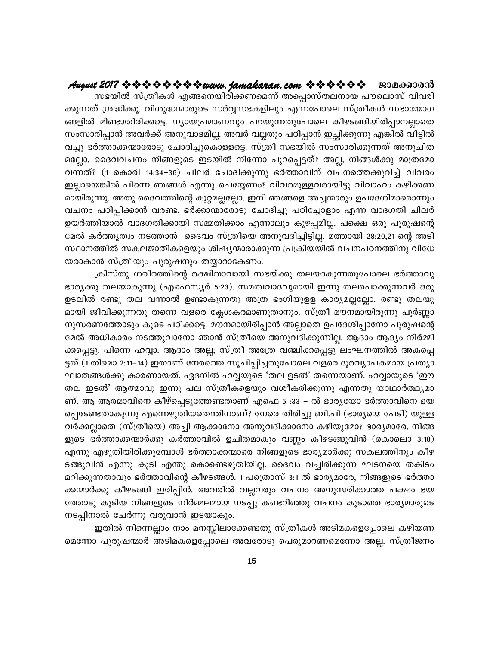സഭയിൽ സ്ത്രീകൾ എങ്ങനെയിരിക്കണമെന്ന് അപ്പൊസ്തലനായ പൗലൊസ് വിവരി ക്കുന്നത് ശ്രദ്ധിക്കൂ. വിശുദ്ധന്മാരുടെ സർവ്വസഭകളിലും എന്നപോലെ സ്ത്രീകൾ സഭായോഗ ങ്ങളിൽ മിണ്ടാതിരിക്കട്ടെ. ന്യായപ്രമാണവും പറയുന്നതുപോലെ കീഴടങ്ങിയിരിപ്പാനല്ലാതെ സംസാരിപ്പാൻ അവർക്ക് അനുവാദമില്ല. അവർ വല്ലതും പഠിപ്പാൻ ഇച്ഛിക്കുന്നു എങ്കിൽ വീട്ടിൽ വച്ചു ഭർത്താക്കന്മാരോടു ചോദിച്ചുകൊള്ളട്ടെ. സ്ത്രീ സഭയിൽ സംസാരിക്കുന്നത് അനുചിത മല്ലോ. ദൈവവചനം നിങ്ങളുടെ ഇടയിൽ നിന്നോ പുറപ്പെട്ടത്? അല്ല, നിങ്ങൾക്കു മാത്രമോ വന്നത്? (1 കൊരി 14:34–36) ചിലർ ചോദിക്കുന്നു ഭർത്താവിന് വചനത്തെക്കുറിച്ച് വിവരം ഇല്ലായെങ്കിൽ പിന്നെ ഞങ്ങൾ എന്തു ചെയ്യേണം? വിവരമുള്ളവരായിട്ടു വിവാഹം കഴിക്കണ മായിരുന്നു. അതു ദൈവത്തിന്റെ കുറ്റമല്ലല്ലോ. ഇനി ഞങ്ങളെ അച്ചന്മാരും ഉപദേശിമാരൊന്നും വചനം പഠിപ്പിക്കാൻ വരണ്ട. ഭർക്കാന്മാരോടു ചോദിച്ചു പഠിച്ചോളാം എന്ന വാദഗതി ചിലർ ഉയർത്തിയാൽ വാദഗതിക്കായി സമ്മതിക്കാം എന്നാലും കുഴപ്പമില്ല. പക്ഷെ ഒരു പുരുഷന്റെ മേൽ കർത്തൃത്വം നടത്താൻ ദൈവം സ്ത്രീയെ അനുവദിച്ചിട്ടില്ല. മത്തായി 28:20,21 ന്റെ അടി സ്ഥാനത്തിൽ സകലജാതികളെയും ശിഷ്യന്മാരാക്കുന്ന പ്രക്രിയയിൽ വചനപഠനത്തിനു വിധേ യരാകാൻ സ്ത്രീയും പുരുഷനും തയ്യാറാകേണം.

ക്രിസ്തു ശരീരത്തിന്റെ രക്ഷിതാവായി സഭയ്ക്കു തലയാകുന്നതുപോലെ ഭർത്താവു ഭാര്യക്കു തലയാകുന്നു (എഫെസ്യർ 5:23). സമത്വവാദവുമായി ഇന്നു തലപൊക്കുന്നവർ ഒരു ഉടലിൽ രണ്ടു തല വന്നാൽ ഉണ്ടാകുന്നതു അത്ര ഭംഗിയുളള കാര്യമല്ലല്ലോ. രണ്ടു തലയു മായി ജീവിക്കുന്നതു തന്നെ വളരെ ക്ലേശകരമാണുതാനും. സ്ത്രീ മൗനമായിരുന്നു പൂർണ്ണാ നുസരണത്തോടും കൂടെ പഠിക്കട്ടെ. മൗനമായിരിപ്പാൻ അല്ലാതെ ഉപദേശിപ്പാനോ പുരുഷന്റെ മേൽ അധികാരം നടത്തുവാനോ ഞാൻ സ്ത്രീയെ അനുവദിക്കുന്നില്ല. ആദാം ആദ്യം നിർമ്മി ക്കപ്പെട്ടു. പിന്നെ ഹവ്വാ. ആദാം അല്ല; സ്ത്രീ അത്രേ വഞ്ചിക്കപ്പെട്ടു ലംഘനത്തിൽ അകപ്പെ ട്ടത് (1 തിമൊ 2:11–14) ഇതാണ് നേരത്തെ സൂചിപ്പിച്ചതുപോലെ വളരെ ദൂരവ്യാപകമായ പ്രത്യാ ഘാതങ്ങൾക്കു കാരണായത്. ഏദനിൽ ഹവ്വയുടെ 'തല ഉടൽ' തന്നെയാണ്. ഹവ്വായുടെ 'ഈ തല ഇടൽ' ആത്മാവു ഇന്നു പല സ്ത്രീകളെയും വശീകരിക്കുന്നു എന്നതു യാഥാർത്ഥ്യമാ ണ്. ആ ആത്മാവിനെ കീഴ്പ്പെടുത്തേണ്ടതാണ് എഫെ 5 :33 − ൽ ഭാരൃയോ ഭർത്താവിനെ ഭയ പ്പെടേണ്ടതാകുന്നു എന്നെഴുതിയതെന്തിനാണ്? നേരെ തിരിച്ചു ബി.പി (ഭാര്യയെ പേടി) യുള്ള വർക്കല്ലാതെ (സ്ത്രീയെ) അച്ചി ആക്കാനോ അനുവദിക്കാനോ കഴിയുമോ? ഭാര്യമാരേ, നിങ്ങ ളുടെ ഭർത്താക്കന്മാർക്കു കർത്താവിൽ ഉചിതമാകും വണ്ണം കീഴടങ്ങുവിൻ (കൊലൊ 3:18) എന്നു എഴുതിയിരിക്കുമ്പോൾ ഭർത്താക്കന്മാരെ നിങ്ങളുടെ ഭാര്യമാർക്കു സകലത്തിനും കീഴ ടങ്ങുവിൻ എന്നു കൂടി എന്തു കൊണ്ടെഴുതിയില്ല. ദൈവം വച്ചിരിക്കുന്ന ഘടനയെ തകിടം മറിക്കുന്നതാവും ഭർത്താവിന്റെ കീഴടങ്ങൾ. 1 പത്രൊസ് 3:1 ൽ ഭാര്യമാരേ, നിങ്ങളുടെ ഭർത്താ ക്കന്മാർക്കു കീഴടങ്ങി ഇരിപ്പിൻ. അവരിൽ വല്ലവരും വചനം അനുസരിക്കാത്ത പക്ഷം ഭയ ത്തോടു കൂടിയ നിങ്ങളുടെ നിർമ്മലമായ നടപ്പു കണ്ടറിഞ്ഞു വചനം കൂടാതെ ഭാര്യമാരുടെ നടപ്പിനാൽ ചേർന്നു വരുവാൻ ഇടയാകും.

ഇതിൽ നിന്നെല്ലാം നാം മനസ്സിലാക്കേണ്ടതു സ്ത്രീകൾ അടിമകളെപ്പോലെ കഴിയണ മെന്നോ പുരുഷന്മാർ അടിമകളെപ്പോലെ അവരോടു പെരുമാറണമെന്നോ അല്ല. സ്ത്രീജനം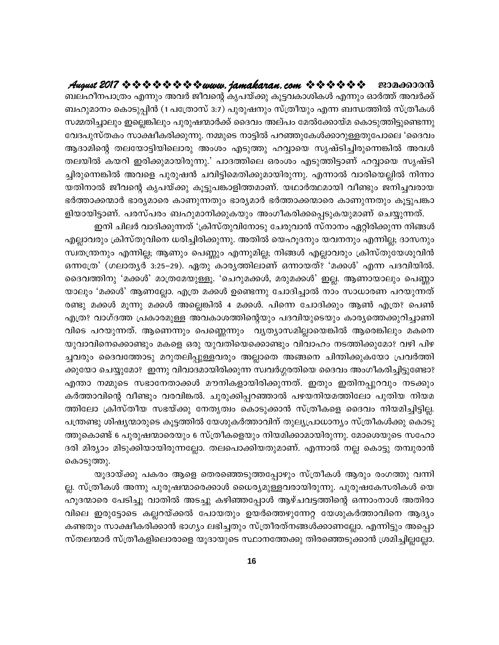August 2017 & & & & & & & wuru. jamakaran.com & & & & & & ജാമക്കാരൻ ബലഹീനപാത്രം എന്നും അവർ ജീവന്റെ കൃപയ്ക്കു കൂട്ടവകാശികൾ എന്നും ഓർത്ത് അവർക്ക് ബഹുമാനം കൊടുപ്പിൻ (1 പത്രോസ് 3:7) പുരുഷനും സ്ത്രീയും എന്ന ബന്ധത്തിൽ സ്ത്രീകൾ സമ്മതിച്ചാലും ഇല്ലെങ്കിലും പുരുഷന്മാർക്ക് ദൈവം അല്പം മേൽക്കോയ്മ കൊടുത്തിട്ടുണ്ടെന്നു വേദപുസ്തകം സാക്ഷീകരിക്കുന്നു. നമ്മുടെ നാട്ടിൽ പറഞ്ഞുകേൾക്കാറുള്ളതുപോലെ 'ദൈവം ആദാമിന്റെ തലയോട്ടിയിലൊരു അംശം എടുത്തു ഹവ്വായെ സൃഷ്ടിച്ചിരുന്നെങ്കിൽ അവൾ തലയിൽ കയറി ഇരിക്കുമായിരുന്നു.' പാദത്തിലെ ഒരംശം എടുത്തിട്ടാണ് ഹവ്വായെ സൃഷ്ടി ച്ചിരുന്നെങ്കിൽ അവളെ പുരുഷൻ ചവിട്ടിമെതിക്കുമായിരുന്നു. എന്നാൽ വാരിയെല്ലിൽ നിന്നാ യതിനാൽ ജീവന്റെ കൃപയ്ക്കു കൂട്ടുപങ്കാളിത്തമാണ്. യഥാർത്ഥമായി വീണ്ടും ജനിച്ചവരായ ഭർത്താക്കന്മാർ ഭാര്യമാരെ കാണുന്നതും ഭാര്യമാർ ഭർത്താക്കന്മാരെ കാണുന്നതും കൂട്ടുപങ്കാ ളിയായിട്ടാണ്. പരസ്പരം ബഹുമാനിക്കുകയും അംഗീകരിക്കപ്പെടുകയുമാണ് ചെയ്യുന്നത്.

ഇനി ചിലർ വാദിക്കുന്നത് 'ക്രിസ്തുവിനോടു ചേരുവാൻ സ്നാനം ഏറ്റിരിക്കുന്ന നിങ്ങൾ എല്ലാവരും ക്രിസ്തുവിനെ ധരിച്ചിരിക്കുന്നു. അതിൽ യെഹൂദനും യവനനും എന്നില്ല; ദാസനും സ്വതന്ത്രനും എന്നില്ല; ആണും പെണ്ണും എന്നുമില്ല; നിങ്ങൾ എല്ലാവരും ക്രിസ്തുയേശുവിൻ ഒന്നത്രേ' (ഗലാതൃർ 3:25–29). ഏതു കാരൃത്തിലാണ് ഒന്നായത്? 'മക്കൾ' എന്ന പദവിയിൽ. ദൈവത്തിനു 'മക്കൾ' മാത്രമേയുള്ളൂ. 'ചെറുമക്കൾ, മരുമക്കൾ' ഇല്ല. ആണായാലും പെണ്ണാ യാലും 'മക്കൾ' ആണല്ലോ. എത്ര മക്കൾ ഉണ്ടെന്നു ചോദിച്ചാൽ നാം സാധാരണ പറയുന്നത് രണ്ടു മക്കൾ മൂന്നു മക്കൾ അല്ലെങ്കിൽ 4 മക്കൾ. പിന്നെ ചോദിക്കും ആൺ എത്ര? പെൺ എത്ര? വാഗ്ദത്ത പ്രകാരമുള്ള അവകാശത്തിന്റെയും പദവിയുടെയും കാര്യത്തെക്കുറിച്ചാണി വിടെ പറയുന്നത്. ആണെന്നും പെണ്ണെന്നും വ്യത്യാസമില്ലായെങ്കിൽ ആരെങ്കിലും മകനെ യുവാവിനെക്കൊണ്ടും മകളെ ഒരു യുവതിയെക്കൊണ്ടും വിവാഹം നടത്തിക്കുമോ? വഴി പിഴ ച്ചവരും ദൈവത്തോടു മറുതലിപ്പുള്ളവരും അല്ലാതെ അങ്ങനെ ചിന്തിക്കുകയോ പ്രവർത്തി ക്കുയോ ചെയ്യുമോ? ഇന്നു വിവാദമായിരിക്കുന്ന സ്വവർഗ്ഗരതിയെ ദൈവം അംഗീകരിച്ചിട്ടുണ്ടോ? എന്താ നമ്മുടെ സഭാനേതാക്കൾ മൗനികളായിരിക്കുന്നത്. ഇതും ഇതിനപ്പുറവും നടക്കും കർത്താവിന്റെ വീണ്ടും വരവിങ്കൽ. ചുരുക്കിപ്പറഞ്ഞാൽ പഴയനിയമത്തിലോ പുതിയ നിയമ ത്തിലോ ക്രിസ്തീയ സഭയ്ക്കു നേതൃത്വം കൊടുക്കാൻ സ്ത്രീകളെ ദൈവം നിയമിച്ചിട്ടില്ല. പന്ത്രണ്ടു ശിഷ്യന്മാരുടെ കൂട്ടത്തിൽ യേശുകർത്താവിന് തുല്യപ്രാധാന്യം സ്ത്രീകൾക്കു കൊടു ത്തുകൊണ്ട് 6 പുരുഷന്മാരെയും 6 സ്ത്രീകളെയും നിയമിക്കാമായിരുന്നു. മോശെയുടെ സഹോ ദരി മിര്യാം മിടുക്കിയായിരുന്നല്ലോ. തലപൊക്കിയതുമാണ്. എന്നാൽ നല്ല കൊട്ടു തമ്പുരാൻ കൊടുത്തു.

യൂദായ്ക്കു പകരം ആളെ തെരഞ്ഞെടുത്തപ്പോഴും സ്ത്രീകൾ ആരും രംഗത്തു വന്നി ല്ല. സ്ത്രീകൾ അന്നു പുരുഷന്മാരെക്കാൾ ധൈര്യമുള്ളവരായിരുന്നു. പുരുഷകേസരികൾ യെ ഹൂദന്മാരെ പേടിച്ചു വാതിൽ അടച്ചു കഴിഞ്ഞപ്പോൾ ആഴ്ചവട്ടത്തിന്റെ ഒന്നാംനാൾ അതിരാ വിലെ ഇരുട്ടോടെ കല്ലറയ്ക്കൽ പോയതും ഉയർത്തെഴുന്നേറ്റ യേശുകർത്താവിനെ ആദ്യം കണ്ടതും സാക്ഷീകരിക്കാൻ ഭാഗ്യം ലഭിച്ചതും സ്ത്രീരത്നങ്ങൾക്കാണല്ലോ. എന്നിട്ടും അപ്പൊ സ്തലന്മാർ സ്ത്രീകളിലൊരാളെ യൂദായുടെ സ്ഥാനത്തേക്കു തിരഞ്ഞെടുക്കാൻ ശ്രമിച്ചില്ലല്ലോ.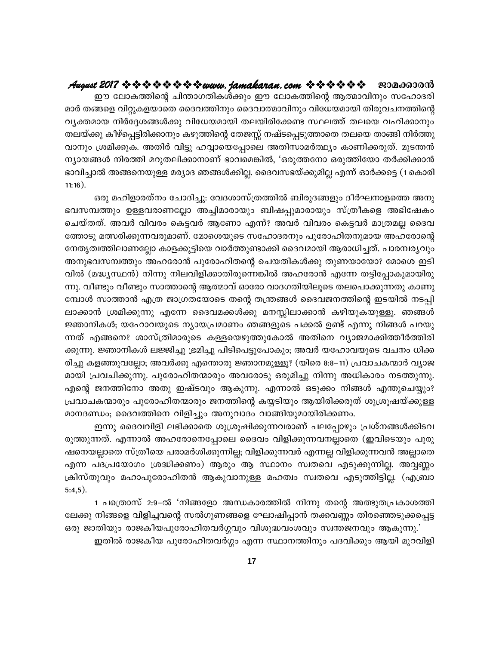### August 2017 & & & & & & & wuru. jamakaran.com & & & & & & ജാമക്കാരൻ

ഈ ലോകത്തിന്റെ ചിന്താഗതികൾക്കും ഈ ലോകത്തിന്റെ ആത്മാവിനും സഹോദരി മാർ തങ്ങളെ വിറ്റുകളയാതെ ദൈവത്തിനും ദൈവാത്മാവിനും വിധേയമായി തിരുവചനത്തിന്റെ വൃക്തമായ നിർദ്ദേശങ്ങൾക്കു വിധേയമായി തലയിരിക്കേണ്ട സ്ഥലത്ത് തലയെ വഹിക്കാനും തലയ്ക്കു കീഴ്പ്പെട്ടിരിക്കാനും കഴുത്തിന്റെ തേജസ്സ് നഷ്ടപ്പെടുത്താതെ തലയെ താങ്ങി നിർത്തു വാനും ശ്രമിക്കുക. അതിർ വിട്ടു ഹവ്വായെപ്പോലെ അതിസാമർത്ഥ്യം കാണിക്കരുത്. മുടന്തൻ ന്യായങ്ങൾ നിരത്തി മറുതലിക്കാനാണ് ഭാവമെങ്കിൽ, 'ഒരുത്തനോ ഒരുത്തിയോ തർക്കിക്കാൻ ഭാവിച്ചാൽ അങ്ങനെയുള്ള മര്യാദ ഞങ്ങൾക്കില്ല. ദൈവസഭയ്ക്കുമില്ല എന്ന് ഓർക്കട്ടെ (1 കൊരി  $11:16$ ).

ഒരു മഹിളാരത്നം ചോദിച്ചു: വേദശാസ്ത്രത്തിൽ ബിരുദങ്ങളും ദീർഘനാളത്തെ അനു ഭവസമ്പത്തും ഉള്ളവരാണല്ലോ അച്ചിമാരായും ബിഷപ്പുമാരായും സ്ത്രീകളെ അഭിഷേകം ചെയ്തത്. അവർ വിവരം കെട്ടവർ ആണോ എന്ന്? അവർ വിവരം കെട്ടവർ മാത്രമല്ല ദൈവ ത്തോടു മത്സരിക്കുന്നവരുമാണ്. മോശെയുടെ സഹോദരനും പുരോഹിതനുമായ അഹരോന്റെ നേതൃത്വത്തിലാണല്ലോ കാളക്കുട്ടിയെ വാർത്തുണ്ടാക്കി ദൈവമായി ആരാധിച്ചത്. പാരമ്പര്യവും അനുഭവസമ്പത്തും അഹരോൻ പുരോഹിതന്റെ ചെയതികൾക്കു തുണയായോ? മോശെ ഇടി വിൽ (മദ്ധ്യസ്ഥൻ) നിന്നു നിലവിളിക്കാതിരുന്നെങ്കിൽ അഹരോൻ എന്നേ തട്ടിപ്പോകുമായിരു ന്നു. വീണ്ടും വീണ്ടും സാത്താന്റെ ആത്മാവ് ഓരോ വാദഗതിയിലൂടെ തലപൊക്കുന്നതു കാണു മ്പോൾ സാത്താൻ എത്ര ജാഗ്രതയോടെ തന്റെ തന്ത്രങ്ങൾ ദൈവജനത്തിന്റെ ഇടയിൽ നടപ്പി ലാക്കാൻ ശ്രമിക്കുന്നു എന്നേ ദൈവമക്കൾക്കു മനസ്സിലാക്കാൻ കഴിയുകയുള്ളൂ. ഞങ്ങൾ ജ്ഞാനികൾ; യഹോവയുടെ ന്യായപ്രമാണം ഞങ്ങളുടെ പക്കൽ ഉണ്ട് എന്നു നിങ്ങൾ പറയു ന്നത് എങ്ങനെ? ശാസ്ത്രിമാരുടെ കള്ളയെഴുത്തുകോൽ അതിനെ വ്യാജമാക്കിത്തീർത്തിരി ക്കുന്നു. ജ്ഞാനികൾ ലജ്ജിച്ചു ഭ്രമിച്ചു പിടിപെട്ടുപോകും; അവർ യഹോവയുടെ വചനം ധിക്ക രിച്ചു കളഞ്ഞുവല്ലോ; അവർക്കു എന്തൊരു ജ്ഞാനമുള്ളൂ? (യിരെ 8:8–11) പ്രവാചകന്മാർ വ്യാജ മായി പ്രവചിക്കുന്നു. പുരോഹിതന്മാരും അവരോടു ഒരുമിച്ചു നിന്നു അധികാരം നടത്തുന്നു. എന്റെ ജനത്തിനോ അതു ഇഷ്ടവും ആകുന്നു. എന്നാൽ ഒടുക്കം നിങ്ങൾ എന്തുചെയ്യും? പ്രവാചകന്മാരും പുരോഹിതന്മാരും ജനത്തിന്റെ കയ്യടിയും ആയിരിക്കരുത് ശുശ്രൂഷയ്ക്കുള്ള മാനദണ്ഡം; ദൈവത്തിനെ വിളിച്ചും അനുവാദം വാങ്ങിയുമായിരിക്കണം.

ഇന്നു ദൈവവിളി ലഭിക്കാതെ ശുശ്രൂഷിക്കുന്നവരാണ് പലപ്പോഴും പ്രശ്നങ്ങൾക്കിടവ രുത്തുന്നത്. എന്നാൽ അഹരോനെപ്പോലെ ദൈവം വിളിക്കുന്നവനല്ലാതെ (ഇവിടെയും പുരു ഷനെയല്ലാതെ സ്ത്രീയെ പരാമർശിക്കുന്നില്ല; വിളിക്കുന്നവർ എന്നല്ല വിളിക്കുന്നവൻ അല്ലാതെ എന്ന പദപ്രയോഗം ശ്രദ്ധിക്കണം) ആരും ആ സ്ഥാനം സ്വതവെ എടുക്കുന്നില്ല. അവ്വണ്ണം ക്രിസ്തുവും മഹാപുരോഹിതൻ ആകുവാനുള്ള മഹത്വം സ്വതവെ എടുത്തിട്ടില്ല. (എബ്രാ  $5:4,5$ ).

1 പത്രൊസ് 2:9–ൽ 'നിങ്ങളോ അന്ധകാരത്തിൽ നിന്നു തന്റെ അത്ഭുതപ്രകാശത്തി ലേക്കു നിങ്ങളെ വിളിച്ചവന്റെ സൽഗുണങ്ങളെ ഘോഷിപ്പാൻ തക്കവണ്ണം തിരഞ്ഞെടുക്കപ്പെട്ട ഒരു ജാതിയും രാജകീയപുരോഹിതവർഗ്ഗവും വിശുദ്ധവംശവും സ്വന്തജനവും ആകുന്നു.'

ഇതിൽ രാജകീയ പുരോഹിതവർഗ്ഗം എന്ന സ്ഥാനത്തിനും പദവിക്കും ആയി മുറവിളി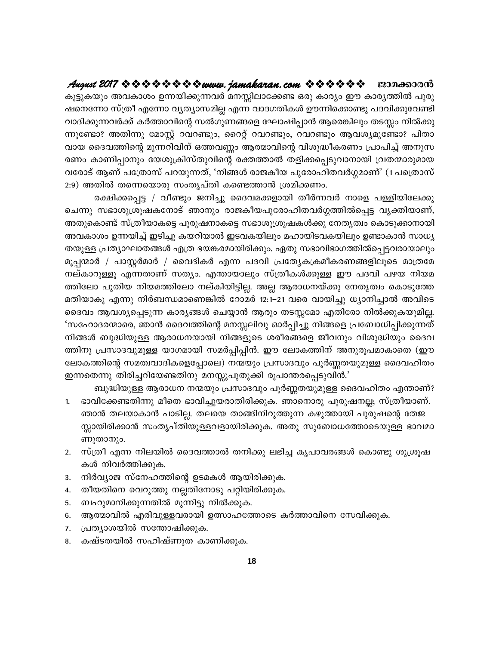കൂട്ടുകയും അവകാശം ഉന്നയിക്കുന്നവർ മനസ്സിലാക്കേണ്ട ഒരു കാര്യം ഈ കാര്യത്തിൽ പുരു ഷനെന്നോ സ്ത്രീ എന്നോ വ്യത്യാസമില്ല എന്ന വാദഗതികൾ ഊന്നിക്കൊണ്ടു പദവിക്കുവേണ്ടി വാദിക്കുന്നവർക്ക് കർത്താവിന്റെ സൽഗുണങ്ങളെ ഘോഷിപ്പാൻ ആരെങ്കിലും തടസ്സം നിൽക്കു ന്നുണ്ടോ? അതിന്നു മോസ്റ്റ് റവറണ്ടും, റൈറ്റ് റവറണ്ടും, റവറണ്ടും ആവശ്യമുണ്ടോ? പിതാ വായ ദൈവത്തിന്റെ മുന്നറിവിന് ഒത്തവണ്ണം ആത്മാവിന്റെ വിശുദ്ധീകരണം പ്രാപിച്ച് അനുസ രണം കാണിപ്പാനും യേശുക്രിസ്തുവിന്റെ രക്തത്താൽ തളിക്കപ്പെടുവാനായി വ്രതന്മാരുമായ വരോട് ആണ് പത്രോസ് പറയുന്നത്, 'നിങ്ങൾ രാജകീയ പുരോഹിതവർഗ്ഗമാണ്' (1 പത്രൊസ് 2:9) അതിൽ തന്നെയൊരു സംതൃപ്തി കണ്ടെത്താൻ ശ്രമിക്കണം.

രക്ഷിക്കപ്പെട്ട / വീണ്ടും ജനിച്ചു ദൈവമക്കളായി തീർന്നവർ നാളെ പള്ളിയിലേക്കു ചെന്നു സഭാശുശ്രൂഷകനോട് ഞാനും രാജകീയപുരോഹിതവർഗ്ഗത്തിൽപ്പെട്ട വൃക്തിയാണ്, അതുകൊണ്ട് സ്ത്രീയാകട്ടെ പുരുഷനാകട്ടെ സഭാശുശ്രൂഷകൾക്കു നേതൃത്വം കൊടുക്കാനായി അവകാശം ഉന്നയിച്ച് ഇടിച്ചു കയറിയാൽ ഇടവകയിലും മഹായിടവകയിലും ഉണ്ടാകാൻ സാധ്യ തയുള്ള പ്രത്യാഘാതങ്ങൾ എത്ര ഭയങ്കരമായിരിക്കും. ഏതു സഭാവിഭാഗത്തിൽപ്പെട്ടവരായാലും മൂപ്പന്മാർ / പാസ്റ്റർമാർ / വൈദികർ എന്ന പദവി പ്രത്യേകക്രമീകരണങ്ങളിലൂടെ മാത്രമേ നല്കാറുള്ളൂ എന്നതാണ് സത്യം. എന്തായാലും സ്ത്രീകൾക്കുള്ള ഈ പദവി പഴയ നിയമ ത്തിലോ പുതിയ നിയമത്തിലോ നല്കിയിട്ടില്ല. അല്ല ആരാധനയ്ക്കു നേതൃത്വം കൊടുത്തേ മതിയാകൂ എന്നു നിർബന്ധമാണെങ്കിൽ റോമർ 12:1–21 വരെ വായിച്ചു ധ്യാനിച്ചാൽ അവിടെ ദൈവം ആവശ്യപ്പെടുന്ന കാര്യങ്ങൾ ചെയ്യാൻ ആരും തടസ്സമോ എതിരോ നിൽക്കുകയുമില്ല. 'സഹോദരന്മാരെ, ഞാൻ ദൈവത്തിന്റെ മനസ്സലിവു ഓർപ്പിച്ചു നിങ്ങളെ പ്രബോധിപ്പിക്കുന്നത് നിങ്ങൾ ബുദ്ധിയുള്ള ആരാധനയായി നിങ്ങളുടെ ശരീരങ്ങളെ ജീവനും വിശുദ്ധിയും ദൈവ ത്തിനു പ്രസാദവുമുള്ള യാഗമായി സമർപ്പിപ്പിൻ. ഈ ലോകത്തിന് അനുരൂപമാകാതെ (ഈ ലോകത്തിന്റെ സമത്വവാദികളെപ്പോലെ) നന്മയും പ്രസാദവും പൂർണ്ണതയുമുള്ള ദൈവഹിതം ഇന്നതെന്നു തിരിച്ചറിയേണ്ടതിനു മനസ്സുപുതുക്കി രൂപാന്തരപ്പെടുവിൻ.'

ബുദ്ധിയുള്ള ആരാധന നന്മയും പ്രസാദവും പൂർണ്ണതയുമുള്ള ദൈവഹിതം എന്താണ്?

- ഭാവിക്കേണ്ടതിന്നു മീതെ ഭാവിച്ചുയരാതിരിക്കുക. ഞാനൊരു പുരുഷനല്ല; സ്ത്രീയാണ്.  $1.$ ഞാൻ തലയാകാൻ പാടില്ല. തലയെ താങ്ങിനിറുത്തുന്ന കഴുത്തായി പുരുഷന്റെ തേജ സ്സായിരിക്കാൻ സംതൃപ്തിയുള്ളവളായിരിക്കുക. അതു സുബോധത്തോടെയുള്ള ഭാവമാ ണുതാനും.
- 2. സ്ത്രീ എന്ന നിലയിൽ ദൈവത്താൽ തനിക്കു ലഭിച്ച കൃപാവരങ്ങൾ കൊണ്ടു ശുശ്രൂഷ കൾ നിവർത്തിക്കുക.
- നിർവ്യാജ സ്നേഹത്തിന്റെ ഉടമകൾ ആയിരിക്കുക. 3.
- തീയതിനെ വെറുത്തു നല്ലതിനോടു പറ്റിയിരിക്കുക. 4.
- 5. ബഹുമാനിക്കുന്നതിൽ മുന്നിട്ടു നിൽക്കുക.
- 6. ആത്മാവിൽ എരിവുള്ളവരായി ഉത്സാഹത്തോടെ കർത്താവിനെ സേവിക്കുക.
- പ്രത്യാശയിൽ സന്തോഷിക്കുക. 7.
- കഷ്ടതയിൽ സഹിഷ്ണുത കാണിക്കുക. 8.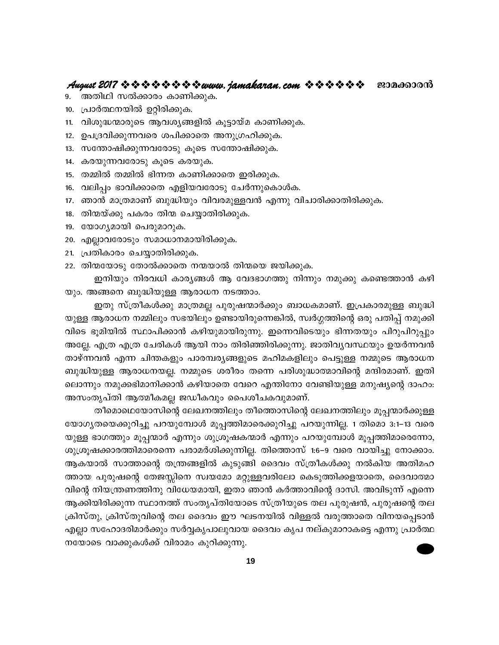- അതിഥി സൽക്കാരം കാണിക്കുക. 9.
- 10. പ്രാർത്ഥനയിൽ ഉറ്റിരിക്കുക.
- വിശുദ്ധന്മാരുടെ ആവശ്യങ്ങളിൽ കൂട്ടായ്മ കാണിക്കുക.  $11.$
- ഉപദ്രവിക്കുന്നവരെ ശപിക്കാതെ അനുഗ്രഹിക്കുക.  $12.$
- 13. സന്തോഷിക്കുന്നവരോടു കൂടെ സന്തോഷിക്കുക.
- 14. കരയുന്നവരോടു കൂടെ കരയുക.
- 15. തമ്മിൽ തമ്മിൽ ഭിന്നത കാണിക്കാതെ ഇരിക്കുക.
- 16. വലിപ്പം ഭാവിക്കാതെ എളിയവരോടു ചേർന്നുകൊൾക.
- 17. ഞാൻ മാത്രമാണ് ബുദ്ധിയും വിവരമുള്ളവൻ എന്നു വിചാരിക്കാതിരിക്കുക.
- 18. തിന്മയ്ക്കു പകരം തിന്മ ചെയ്യാതിരിക്കുക.
- 19. യോഗൃമായി പെരുമാറുക.
- 20. എല്ലാവരോടും സമാധാനമായിരിക്കുക.
- 21. പ്രതികാരം ചെയ്യാതിരിക്കുക.
- 22. തിന്മയോടു തോൽക്കാതെ നന്മയാൽ തിന്മയെ ജയിക്കുക.

ഇനിയും നിരവധി കാര്യങ്ങൾ ആ വേദഭാഗത്തു നിന്നും നമുക്കു കണ്ടെത്താൻ കഴി യും. അങ്ങനെ ബുദ്ധിയുള്ള ആരാധന നടത്താം.

ഇതു സ്ത്രീകൾക്കു മാത്രമല്ല പുരുഷന്മാർക്കും ബാധകമാണ്. ഇപ്രകാരമുള്ള ബുദ്ധി യുള്ള ആരാധന നമ്മിലും സഭയിലും ഉണ്ടായിരുന്നെങ്കിൽ, സ്വർഗ്ഗത്തിന്റെ ഒരു പതിപ്പ് നമുക്കി വിടെ ഭൂമിയിൽ സ്ഥാപിക്കാൻ കഴിയുമായിരുന്നു. ഇന്നെവിടെയും ഭിന്നതയും പിറുപിറുപ്പും അല്ലേ. എത്ര എത്ര ചേരികൾ ആയി നാം തിരിഞ്ഞിരിക്കുന്നു. ജാതിവൃവസ്ഥയും ഉയർന്നവൻ താഴ്ന്നവൻ എന്ന ചിന്തകളും പാരമ്പര്യങ്ങളുടെ മഹിമകളിലും പെട്ടുള്ള നമ്മുടെ ആരാധന ബുദ്ധിയുള്ള ആരാധനയല്ല. നമ്മുടെ ശരീരം തന്നെ പരിശുദ്ധാത്മാവിന്റെ മന്ദിരമാണ്. ഇതി ലൊന്നും നമുക്കഭിമാനിക്കാൻ കഴിയാതെ വേറെ എന്തിനോ വേണ്ടിയുള്ള മനുഷ്യന്റെ ദാഹം: അസംതൃപ്തി ആത്മീകമല്ല ജഡീകവും പൈശീചകവുമാണ്.

തീമൊഥെയോസിന്റെ ലേഖനത്തിലും തീത്തൊസിന്റെ ലേഖനത്തിലും മൂപ്പന്മാർക്കുള്ള യോഗ്യതയെക്കുറിച്ചു പറയുമ്പോൾ മൂപ്പത്തിമാരെക്കുറിച്ചു പറയുന്നില്ല. 1 തിമൊ 3:1–13 വരെ യുള്ള ഭാഗത്തും മൂപ്പന്മാർ എന്നും ശുശ്രൂഷകന്മാർ എന്നും പറയുമ്പോൾ മൂപ്പത്തിമാരെന്നോ, ശുശ്രൂഷക്കാരത്തിമാരെന്നെ പരാമർശിക്കുന്നില്ല. തിത്തൊസ് 1:6–9 വരെ വായിച്ചു നോക്കാം. ആകയാൽ സാത്താന്റെ തന്ത്രങ്ങളിൽ കുടുങ്ങി ദൈവം സ്ത്രീകൾക്കു നൽകിയ അതിമഹ ത്തായ പുരുഷന്റെ തേജസ്സിനെ സ്വയമോ മറ്റുള്ളവരിലോ കെടുത്തിക്കളയാതെ, ദൈവാത്മാ വിന്റെ നിയന്ത്രണത്തിനു വിധേയമായി, ഇതാ ഞാൻ കർത്താവിന്റെ ദാസി. അവിടുന്ന് എന്നെ ആക്കിയിരിക്കുന്ന സ്ഥാനത്ത് സംതൃപ്തിയോടെ സ്ത്രീയുടെ തല പുരുഷൻ, പുരുഷന്റെ തല ക്രിസ്തു, ക്രിസ്തുവിന്റെ തല ദൈവം ഈ ഘടനയിൽ വിള്ളൽ വരുത്താതെ വിനയപ്പെടാൻ എല്ലാ സഹോദരിമാർക്കും സർവ്വകൃപാലുവായ ദൈവം കൃപ നല്കുമാറാകട്ടെ എന്നു പ്രാർത്ഥ നയോടെ വാക്കുകൾക്ക് വിരാമം കുറിക്കുന്നു.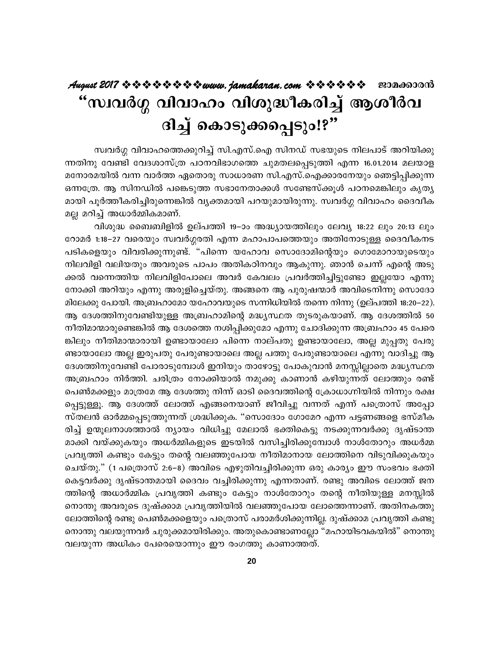# "സ്വവർഗ്ഗ വിവാഹം വിശുദ്ധീകരിച്ച് ആശീർവ ദിച്ച് കൊടുക്കപ്പെടും!?"

സ്വവർഗ്ഗ വിവാഹത്തെക്കുറിച്ച് സി.എസ്.ഐ സിനഡ് സഭയുടെ നിലപാട് അറിയിക്കു ന്നതിനു വേണ്ടി വേദശാസ്ത്ര പഠനവിഭാഗത്തെ ചുമതലപ്പെടുത്തി എന്ന 16.01.2014 മലയാള മനോരമയിൽ വന്ന വാർത്ത ഏതൊരു സാധാരണ സി.എസ്.ഐക്കാരനേയും ഞെട്ടിപ്പിക്കുന്ന ഒന്നത്രേ. ആ സിനഡിൽ പങ്കെടുത്ത സഭാനേതാക്കൾ സണ്ടേസ്ക്കുൾ പഠനമെങ്കിലും കൃതൃ മായി പൂർത്തീകരിച്ചിരുന്നെങ്കിൽ വ്യക്തമായി പറയുമായിരുന്നു. സ്വവർഗ്ഗ വിവാഹം ദൈവീക മല്ല മറിച്ച് അധാർമ്മികമാണ്.

വിശുദ്ധ ബൈബിളിൽ ഉല്പത്തി 19–ാം അദ്ധ്യായത്തിലും ലേവ്യ 18:22 ലും 20:13 ലും റോമർ 1:18–27 വരെയും സ്വവർഗ്ഗരതി എന്ന മഹാപാപത്തെയും അതിനോടുള്ള ദൈവീകനട പടികളെയും വിവരിക്കുന്നുണ്ട്. "പിന്നെ യഹോവ സൊദോമിന്റെയും ഗൊമോറായുടെയും നിലവിളി വലിയതും അവരുടെ പാപം അതികഠിനവും ആകുന്നു. ഞാൻ ചെന്ന് എന്റെ അടു ക്കൽ വന്നെത്തിയ നിലവിളിപോലെ അവർ കേവലം പ്രവർത്തിച്ചിട്ടുണ്ടോ ഇല്ലയോ എന്നു നോക്കി അറിയും എന്നു അരുളിച്ചെയ്തു. അങ്ങനെ ആ പുരുഷന്മാർ അവിടെനിന്നു സൊദോ മിലേക്കു പോയി. അബ്രഹാമോ യഹോവയുടെ സന്നിധിയിൽ തന്നെ നിന്നു (ഉല്പത്തി 18:20–22). ആ ദേശത്തിനുവേണ്ടിയുള്ള അബ്രഹാമിന്റെ മദ്ധ്യസ്ഥത തുടരുകയാണ്. ആ ദേശത്തിൽ 50 നീതിമാന്മാരുണ്ടെങ്കിൽ ആ ദേശത്തെ നശിപ്പിക്കുമോ എന്നു ചോദിക്കുന്ന അബ്രഹാം 45 പേരെ ങ്കിലും നീതിമാന്മാരായി ഉണ്ടായാലോ പിന്നെ നാല്പതു ഉണ്ടായാലോ, അല്ല മുപ്പതു പേരു ണ്ടായാലോ അല്ല ഇരുപതു പേരുണ്ടായാലെ അല്ല പത്തു പേരുണ്ടായാലെ എന്നു വാദിച്ചു ആ ദേശത്തിനുവേണ്ടി പോരാടുമ്പോൾ ഇനിയും താഴോട്ടു പോകുവാൻ മനസ്സില്ലാതെ മദ്ധ്യസ്ഥത അബ്രഹാം നിർത്തി. ചരിത്രം നോക്കിയാൽ നമുക്കു കാണാൻ കഴിയുന്നത് ലോത്തും രണ്ട് പെൺമക്കളും മാത്രമേ ആ ദേശത്തു നിന്ന് ഓടി ദൈവത്തിന്റെ ക്രോധാഗ്നിയിൽ നിന്നും രക്ഷ പ്പെട്ടുള്ളൂ. ആ ദേശത്ത് ലോത്ത് എങ്ങനെയാണ് ജീവിച്ചു വന്നത് എന്ന് പത്രൊസ് അപ്പോ സ്തലൻ ഓർമ്മപ്പെടുത്തുന്നത് ശ്രദ്ധിക്കുക. "സൊദോം ഗോമേറ എന്ന പട്ടണങ്ങളെ ഭസ്മീക രിച്ച് ഉന്മൂലനാശത്താൽ ന്യായം വിധിച്ചു മേലാൽ ഭക്തികെട്ടു നടക്കുന്നവർക്കു ദൃഷ്ടാന്ത മാക്കി വയ്ക്കുകയും അധർമ്മികളുടെ ഇടയിൽ വസിച്ചിരിക്കുമ്പോൾ നാൾതോറും അധർമ്മ പ്രവൃത്തി കണ്ടും കേട്ടും തന്റെ വലഞ്ഞുപോയ നീതിമാനായ ലോത്തിനെ വിടുവിക്കുകയും ചെയ്തു." (1 പത്രൊസ് 2:6–8) അവിടെ എഴുതിവച്ചിരിക്കുന്ന ഒരു കാര്യം ഈ സംഭവം ഭക്തി കെട്ടവർക്കു ദൃഷ്ടാന്തമായി ദൈവം വച്ചിരിക്കുന്നു എന്നതാണ്. രണ്ടു അവിടെ ലോത്ത് ജന ത്തിന്റെ അധാർമ്മിക പ്രവൃത്തി കണ്ടും കേട്ടും നാൾതോറും തന്റെ നീതിയുള്ള മനസ്സിൽ നൊന്തു അവരുടെ ദുഷ്ക്കാമ പ്രവൃത്തിയിൽ വലഞ്ഞുപോയ ലോത്തെന്നാണ്. അതിനകത്തു ലോത്തിന്റെ രണ്ടു പെൺമക്കളെയും പത്രൊസ് പരാമർശിക്കുന്നില്ല. ദുഷ്ക്കാമ പ്രവൃത്തി കണ്ടു നൊന്തു വലയുന്നവർ ചുരുക്കമായിരിക്കും. അതുകൊണ്ടാണല്ലോ "മഹായിടവകയിൽ" നൊന്തു വലയുന്ന അധികം പേരെയൊന്നും ഈ രംഗത്തു കാണാത്തത്.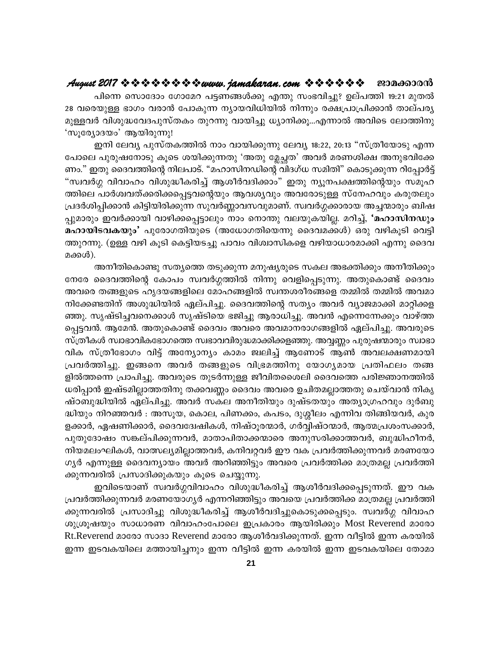പിന്നെ സൊദോം ഗോമേറ പട്ടണങ്ങൾക്കു എന്തു സംഭവിച്ചു? ഉല്പത്തി 19:21 മുതൽ 28 വരെയുള്ള ഭാഗം വരാൻ പോകുന്ന ന്യായവിധിയിൽ നിന്നും രക്ഷപ്രാപ്രിക്കാൻ താല്പര്യ മുള്ളവർ വിശുദ്ധവേദപുസ്തകം തുറന്നു വായിച്ചു ധ്യാനിക്കൂ...എന്നാൽ അവിടെ ലോത്തിനു 'സൂര്യോദയം' ആയിരുന്നു!

ഇനി ലേവ്യ പുസ്തകത്തിൽ നാം വായിക്കുന്നു ലേവ്യ 18:22, 20:13 "സ്ത്രീയോടു എന്ന പോലെ പുരുഷനോടു കൂടെ ശയിക്കുന്നതു 'അതു മ്ലേച്ഛത' അവർ മരണശിക്ഷ അനുഭവിക്കേ ണം." ഇതു ദൈവത്തിന്റെ നിലപാട്. "മഹാസിനഡിന്റെ വിദഗ്ധ സമിതി" കൊടുക്കുന്ന റിപ്പോർട്ട് "സ്വവർഗ്ഗ വിവാഹം വിശുദ്ധീകരിച്ച് ആശീർവദിക്കാം" ഇതു ന്യൂനപക്ഷത്തിന്റെയും സമൂഹ ത്തിലെ പാർശ്വവത്ക്കരിക്കപ്പെട്ടവന്റെയും ആവശ്യവും അവരോടുള്ള സ്നേഹവും കരുതലും പ്രദർശിപ്പിക്കാൻ കിട്ടിയിരിക്കുന്ന സുവർണ്ണാവസവുമാണ്. സ്വവർഗ്ഗക്കാരായ അച്ചന്മാരും ബിഷ പ്പുമാരും ഇവർക്കായി വാഴിക്കപ്പെട്ടാലും നാം നൊന്തു വലയുകയില്ല. മറിച്ച്, 'മഹാസിനഡും മഹായിടവകയും' പുരോഗതിയുടെ (അധോഗതിയെന്നു ദൈവമക്കൾ) ഒരു വഴികൂടി വെട്ടി ത്തുറന്നു. (ഉള്ള വഴി കൂടി കെട്ടിയടച്ചു പാവം വിശ്വാസികളെ വഴിയാധാരമാക്കി എന്നു ദൈവ മക്കൾ).

അനീതികൊണ്ടു സത്യത്തെ തടുക്കുന്ന മനുഷ്യരുടെ സകല അഭക്തിക്കും അനീതിക്കും നേരേ ദൈവത്തിന്റെ കോപം സ്വവർഗ്ഗത്തിൽ നിന്നു വെളിപ്പെടുന്നു. അതുകൊണ്ട് ദൈവം അവരെ തങ്ങളുടെ ഹൃദയങ്ങളിലെ മോഹങ്ങളിൽ സ്വന്തശരീരങ്ങളെ തമ്മിൽ തമ്മിൽ അവമാ നിക്കേണ്ടതിന് അശുദ്ധിയിൽ ഏല്പിച്ചു. ദൈവത്തിന്റെ സത്യം അവർ വ്യാജമാക്കി മാറ്റിക്കള ഞ്ഞു. സൃഷ്ടിച്ചവനെക്കാൾ സൃഷ്ടിയെ ഭജിച്ചു ആരാധിച്ചു. അവൻ എന്നെന്നേക്കും വാഴ്ത്ത പ്പെട്ടവൻ. ആമേൻ. അതുകൊണ്ട് ദൈവം അവരെ അവമാനരാഗങ്ങളിൽ ഏല്പിച്ചു. അവരുടെ സ്ത്രീകൾ സ്വാഭാവികഭോഗത്തെ സ്വഭാവവിരുദ്ധമാക്കിക്കളഞ്ഞു. അവ്വണ്ണം പുരുഷന്മാരും സ്വാഭാ വിക സ്ത്രീഭോഗം വിട്ട് അന്യോന്യം കാമം ജ്വലിച്ച് ആണോട് ആൺ അവലക്ഷണമായി പ്രവർത്തിച്ചു. ഇങ്ങനെ അവർ തങ്ങളുടെ വിഭ്രമത്തിനു യോഗ്യമായ പ്രതിഫലം തങ്ങ ളിൽത്തന്നെ പ്രാപിച്ചു. അവരുടെ തുടർന്നുള്ള ജീവിതശൈലി ദൈവത്തെ പരിജ്ഞാനത്തിൽ ധരിപ്പാൻ ഇഷ്ടമില്ലാത്തതിനു തക്കവണ്ണം ദൈവം അവരെ ഉചിതമല്ലാത്തതു ചെയ്വാൻ നികൃ ഷ്ഠബുദ്ധിയിൽ ഏല്പിച്ചു. അവർ സകല അനീതിയും ദുഷ്ടതയും അത്യാഗ്രഹവും ദുർബു ദ്ധിയും നിറഞ്ഞവർ : അസൂയ, കൊല, പിണക്കം, കപടം, ദുശ്ശീലം എന്നിവ തിങ്ങിയവർ, കുര ളക്കാർ, ഏഷണിക്കാർ, ദൈവദ്വേഷികൾ, നിഷ്ഠൂരന്മാർ, ഗർവ്വിഷ്ഠന്മാർ, ആത്മപ്രശംസക്കാർ, പുതുദോഷം സങ്കല്പിക്കുന്നവർ, മാതാപിതാക്കന്മാരെ അനുസരിക്കാത്തവർ, ബുദ്ധിഹീനർ, നിയമലംഘികൾ, വാത്സല്യമില്ലാത്തവർ, കനിവറ്റവർ ഈ വക പ്രവർത്തിക്കുന്നവർ മരണയോ ഗൃർ എന്നുള്ള ദൈവന്യായം അവർ അറിഞ്ഞിട്ടും അവരെ പ്രവർത്തിക്ക മാത്രമല്ല പ്രവർത്തി ക്കുന്നവരിൽ പ്രസാദിക്കുകയും കൂടെ ചെയ്യുന്നു.

ഇവിടെയാണ് സ്വവർഗ്ഗവിവാഹം വിശുദ്ധീകരിച്ച് ആശീർവദിക്കപ്പെടുന്നത്. ഈ വക പ്രവർത്തിക്കുന്നവർ മരണയോഗ്യർ എന്നറിഞ്ഞിട്ടും അവയെ പ്രവർത്തിക്ക മാത്രമല്ല പ്രവർത്തി ക്കുന്നവരിൽ പ്രസാദിച്ചു വിശുദ്ധീകരിച്ച് ആശീർവദിച്ചുകൊടുക്കപ്പെടും. സ്വവർഗ്ഗ വിവാഹ ശുശ്രൂഷയും സാധാരണ വിവാഹംപോലെ ഇപ്രകാരം ആയിരിക്കും Most Reverend മാരോ Rt.Reverend മാരോ സാദാ Reverend മാരോ ആശീർവദിക്കുന്നത്. ഇന്ന വീട്ടിൽ ഇന്ന കരയിൽ ഇന്ന ഇടവകയിലെ മത്തായിച്ചനും ഇന്ന വീട്ടിൽ ഇന്ന കരയിൽ ഇന്ന ഇടവകയിലെ തോമാ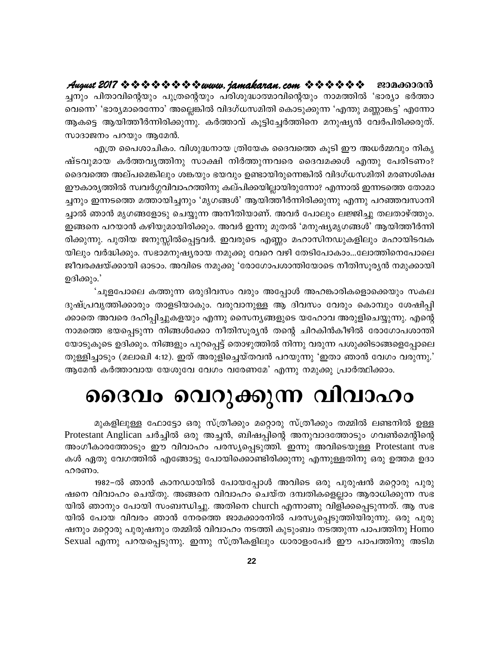ച്ചനും പിതാവിന്റെയും പുത്രന്റെയും പരിശുദ്ധാത്മാവിന്റെയും നാമത്തിൽ 'ഭാര്യാ ഭർത്താ വെന്നെ' 'ഭാര്യമാരെന്നോ' അല്ലെങ്കിൽ വിദഗ്ധസമിതി കൊടുക്കുന്ന 'എന്തു മണ്ണാങ്കട്ട' എന്നോ ആകട്ടെ ആയിത്തീർന്നിരിക്കുന്നു. കർത്താവ് കൂട്ടിച്ചേർത്തിനെ മനുഷ്യൻ വേർപിരിക്കരുത്. സാദാജനം പറയും ആമേൻ.

എത്ര പൈശാചികം. വിശുദ്ധനായ ത്രിയേക ദൈവത്തെ കൂടി ഈ അധർമ്മവും നികൃ ഷ്ടവുമായ കർത്തവൃത്തിനു സാക്ഷി നിർത്തുന്നവരെ ദൈവമക്കൾ എന്തു പേരിടണം? ദൈവത്തെ അല്പമെങ്കിലും ശങ്കയും ഭയവും ഉണ്ടായിരുന്നെങ്കിൽ വിദഗ്ധസമിതി മരണശിക്ഷ ഈകാര്യത്തിൽ സ്വവർഗ്ഗവിവാഹത്തിനു കല്പിക്കയില്ലായിരുന്നോ? എന്നാൽ ഇന്നടത്തെ തോമാ ച്ചനും ഇന്നടത്തെ മത്തായിച്ചനും 'മൃഗങ്ങൾ' ആയിത്തീർന്നിരിക്കുന്നു എന്നു പറഞ്ഞവസാനി ച്ചാൽ ഞാൻ മൃഗങ്ങളോടു ചെയ്യുന്ന അനീതിയാണ്. അവർ പോലും ലജ്ജിച്ചു തലതാഴ്ത്തും. ഇങ്ങനെ പറയാൻ കഴിയുമായിരിക്കും. അവർ ഇന്നു മുതൽ 'മനുഷ്യമൃഗങ്ങൾ' ആയിത്തീർന്നി രിക്കുന്നു. പുതിയ ജനുസ്സിൽപ്പെട്ടവർ. ഇവരുടെ എണ്ണം മഹാസിനഡുകളിലും മഹായിടവക യിലും വർദ്ധിക്കും. സഭാമനുഷ്യരായ നമുക്കു വേറെ വഴി തേടിപോകാം...ലോത്തിനെപോലെ ജീവരക്ഷയ്ക്കായി ഓടാം. അവിടെ നമുക്കു 'രോഗോപശാന്തിയോടെ നീതിസൂര്യൻ നമുക്കായി ഉദിക്കും.'

'ചൂളപോലെ കത്തുന്ന ഒരുദിവസം വരും അപ്പോൾ അഹങ്കാരികളൊക്കെയും സകല ദുഷ്പ്രവൃത്തിക്കാരും താളടിയാകും. വരുവാനുള്ള ആ ദിവസം വേരും കൊമ്പും ശേഷിപ്പി ക്കാതെ അവരെ ദഹിപ്പിച്ചുകളയും എന്നു സൈന്യങ്ങളുടെ യഹോവ അരുളിചെയ്യുന്നു. എന്റെ നാമത്തെ ഭയപ്പെടുന്ന നിങ്ങൾക്കോ നീതിസൂര്യൻ തന്റെ ചിറകിൻകീഴിൽ രോഗോപശാന്തി യോടുകൂടെ ഉദിക്കും. നിങ്ങളും പുറപ്പെട്ട് തൊഴുത്തിൽ നിന്നു വരുന്ന പശുക്കിടാങ്ങളെപ്പോലെ തുള്ളിച്ചാടും (മലാഖി 4:12). ഇത് അരുളിച്ചെയ്തവൻ പറയുന്നു 'ഇതാ ഞാൻ വേഗം വരുന്നു.' ആമേൻ കർത്താവായ യേശുവേ വേഗം വരേണമേ' എന്നു നമുക്കു പ്രാർത്ഥിക്കാം.

# ദൈവം വെറുക്കുന്ന വിവാഹം

മുകളിലുള്ള ഫോട്ടോ ഒരു സ്ത്രീക്കും മറ്റൊരു സ്ത്രീക്കും തമ്മിൽ ലണ്ടനിൽ ഉള്ള Protestant Anglican ചർച്ചിൽ ഒരു അച്ചൻ, ബിഷപ്പിന്റെ അനുവാദത്തോടും ഗവൺമെന്റിന്റെ അംഗീകാരത്തോടും ഈ വിവാഹം പരസ്യപ്പെടുത്തി. ഇന്നു അവിടെയുള്ള Protestant സഭ കൾ ഏതു വേഗത്തിൽ എങ്ങോട്ടു പോയിക്കൊണ്ടിരിക്കുന്നു എന്നുള്ളതിനു ഒരു ഉത്തമ ഉദാ ഹരണം.

1982–ൽ ഞാൻ കാനഡായിൽ പോയപ്പോൾ അവിടെ ഒരു പുരുഷൻ മറ്റൊരു പുരു ഷനെ വിവാഹം ചെയ്തു. അങ്ങനെ വിവാഹം ചെയ്ത ദമ്പതികളെല്ലാം ആരാധിക്കുന്ന സഭ യിൽ ഞാനും പോയി സംബന്ധിച്ചു. അതിനെ church എന്നാണു വിളിക്കപ്പെടുന്നത്. ആ സഭ യിൽ പോയ വിവരം ഞാൻ നേരത്തെ ജാമക്കാരനിൽ പരസ്യപ്പെടുത്തിയിരുന്നു. ഒരു പുരു ഷനും മറ്റൊരു പുരുഷനും തമ്മിൽ വിവാഹം നടത്തി കുടുംബം നടത്തുന്ന പാപത്തിനു Homo Sexual എന്നു പറയപ്പെടുന്നു. ഇന്നു സ്ത്രീകളിലും ധാരാളംപേർ ഈ പാപത്തിനു അടിമ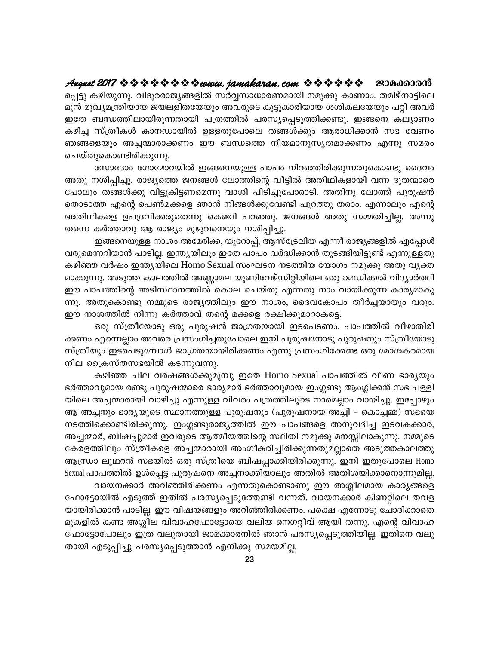### August 2017 \* \* \* \* \* \* \* \* \* www.jamakaran.com \* \* \* \* \* \* \* ജാമക്കാരൻ

പ്പെട്ടു കഴിയുന്നു. വിദൂരരാജ്യങ്ങളിൽ സർവ്വസാധാരണമായി നമുക്കു കാണാം. തമിഴ്നാട്ടിലെ മുൻ മുഖ്യമന്ത്രിയായ ജയലളിതയേയും അവരുടെ കൂട്ടുകാരിയായ ശശികലയേയും പറ്റി അവർ ഇതേ ബന്ധത്തിലായിരുന്നതായി പത്രത്തിൽ പരസ്യപ്പെടുത്തിക്കണ്ടു. ഇങ്ങനെ കല്യാണം കഴിച്ച സ്ത്രീകൾ കാനഡായിൽ ഉള്ളതുപോലെ തങ്ങൾക്കും ആരാധിക്കാൻ സഭ വേണം ഞങ്ങളെയും അച്ചന്മാരാക്കണം ഈ ബന്ധത്തെ നിയമാനുസൃതമാക്കണം എന്നു സമരം ചെയ്തുകൊണ്ടിരിക്കുന്നു.

സോദോം ഗോമോറയിൽ ഇങ്ങനെയുള്ള പാപം നിറഞ്ഞിരിക്കുന്നതുകൊണ്ടു ദൈവം അതു നശിപ്പിച്ചു. രാജ്യത്തെ ജനങ്ങൾ ലോത്തിന്റെ വീട്ടിൽ അതിഥികളായി വന്ന ദൂതന്മാരെ പോലും തങ്ങൾക്കു വിട്ടുകിട്ടണമെന്നു വാശി പിടിച്ചുപോരാടി. അതിനു ലോത്ത് പുരുഷൻ തൊടാത്ത എന്റെ പെൺമക്കളെ ഞാൻ നിങ്ങൾക്കുവേണ്ടി പുറത്തു തരാം. എന്നാലും എന്റെ അതിഥികളെ ഉപദ്രവിക്കരുതെന്നു കെഞ്ചി പറഞ്ഞു. ജനങ്ങൾ അതു സമ്മതിച്ചില്ല. അന്നു തന്നെ കർത്താവു ആ രാജ്യം മുഴുവനെയും നശിപ്പിച്ചു.

ഇങ്ങനെയുള്ള നാശം അമേരിക്ക, യൂറോപ്പ്, ആസ്ട്രേലിയ എന്നീ രാജ്യങ്ങളിൽ എപ്പോൾ വരുമെന്നറിയാൻ പാടില്ല. ഇന്ത്യയിലും ഇതേ പാപം വർദ്ധിക്കാൻ തുടങ്ങിയിട്ടുണ്ട് എന്നുള്ളതു കഴിഞ്ഞ വർഷം ഇന്ത്യയിലെ Homo Sexual സംഘടന നടത്തിയ യോഗം നമുക്കു അതു വ്യക്ത മാക്കുന്നു. അടുത്ത കാലത്തിൽ അണ്ണാമല യൂണിവേഴ്സിറ്റിയിലെ ഒരു മെഡിക്കൽ വിദ്യാർത്ഥി ഈ പാപത്തിന്റെ അടിസ്ഥാനത്തിൽ കൊല ചെയ്തു എന്നതു നാം വായിക്കുന്ന കാര്യമാകു ന്നു. അതുകൊണ്ടു നമ്മുടെ രാജ്യത്തിലും ഈ നാശം, ദൈവകോപം തീർച്ചയായും വരും. ഈ നാശത്തിൽ നിന്നു കർത്താവ് തന്റെ മക്കളെ രക്ഷിക്കുമാറാകട്ടെ.

ഒരു സ്ത്രീയോടു ഒരു പുരുഷൻ ജാഗ്രതയായി ഇടപെടണം. പാപത്തിൽ വീഴാതിരി ക്കണം എന്നെല്ലാം അവരെ പ്രസംഗിച്ചതുപോലെ ഇനി പുരുഷനോടു പുരുഷനും സ്ത്രീയോടു സ്ത്രീയും ഇടപെടുമ്പോൾ ജാഗ്രതയായിരിക്കണം എന്നു പ്രസംഗിക്കേണ്ട ഒരു മോശകരമായ നില ക്രൈസ്തസഭയിൽ കടന്നുവന്നു.

കഴിഞ്ഞ ചില വർഷങ്ങൾക്കുമുമ്പു ഇതേ Homo Sexual പാപത്തിൽ വീണ ഭാര്യയും ഭർത്താവുമായ രണ്ടു പുരുഷന്മാരെ ഭാര്യമാർ ഭർത്താവുമായ ഇംഗ്ലണ്ടു ആംഗ്ലിക്കൻ സഭ പള്ളി യിലെ അച്ചന്മാരായി വാഴിച്ചു എന്നുള്ള വിവരം പത്രത്തിലൂടെ നാമെല്ലാം വായിച്ചു. ഇപ്പോഴും ആ അച്ചനും ഭാര്യയുടെ സ്ഥാനത്തുള്ള പുരുഷനും (പുരുഷനായ അച്ചി – കൊച്ചമ്മ) സഭയെ നടത്തിക്കൊണ്ടിരിക്കുന്നു. ഇംഗ്ലണ്ടുരാജ്യത്തിൽ ഈ പാപങ്ങളെ അനുവദിച്ച ഇടവകക്കാർ, അച്ചന്മാർ, ബിഷപ്പുമാർ ഇവരുടെ ആത്മീയത്തിന്റെ സ്ഥിതി നമുക്കു മനസ്സിലാകുന്നു. നമ്മുടെ കേരളത്തിലും സ്ത്രീകളെ അച്ചന്മാരായി അംഗീകരിച്ചിരിക്കുന്നതുമല്ലാതെ അടുത്തകാലത്തു ആന്ധ്രാ ലൂഥറൻ സഭയിൽ ഒരു സ്ത്രീയെ ബിഷപ്പാക്കിയിരിക്കുന്നു. ഇനി ഇതുപോലെ Homo Sexual പാപത്തിൽ ഉൾപ്പെട്ട പുരുഷനെ അച്ചനാക്കിയാലും അതിൽ അതിശയിക്കാനൊന്നുമില്ല.

വായനക്കാർ അറിഞ്ഞിരിക്കണം എന്നതുകൊണ്ടാണു ഈ അശ്ലീലമായ കാര്യങ്ങളെ ഫോട്ടോയിൽ എടുത്ത് ഇതിൽ പരസ്യപ്പെടുത്തേണ്ടി വന്നത്. വായനക്കാർ കിണറ്റിലെ തവള യായിരിക്കാൻ പാടില്ല. ഈ വിഷയങ്ങളും അറിഞ്ഞിരിക്കണം. പക്ഷെ എന്നോടു ചോദിക്കാതെ മുകളിൽ കണ്ട അശ്ലീല വിവാഹഫോട്ടോയെ വലിയ നെഗറ്റീവ് ആയി തന്നു. എന്റെ വിവാഹ ഫോട്ടോപോലും ഇത്ര വലുതായി ജാമക്കാരനിൽ ഞാൻ പരസ്യപ്പെടുത്തിയില്ല. ഇതിനെ വലു തായി എടുപ്പിച്ചു പരസ്യപ്പെടുത്താൻ എനിക്കു സമയമില്ല.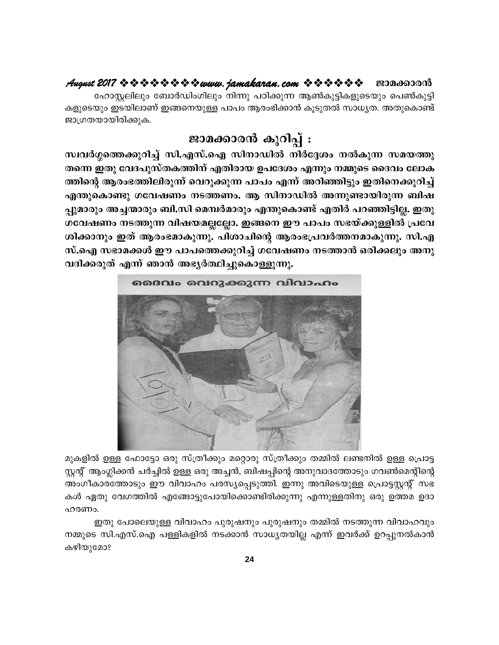## August 2017 \* \* \* \* \* \* \* \* \* www.jamakaran.com \* \* \* \* \* \* \* ജാമക്കാരൻ

ഹോസ്റ്റലിലും ബോർഡിംഗിലും നിന്നു പഠിക്കുന്ന ആൺകുട്ടികളുടെയും പെൺകുട്ടി കളുടെയും ഇടയിലാണ് ഇങ്ങനെയുള്ള പാപം ആരംഭിക്കാൻ കൂടുതൽ സാധ്യത. അതുകൊണ്ട് ജാഗ്രതയായിരിക്കുക.

# ജാമക്കാരൻ കുറിപ്പ് :

സ്ഥിർഗ്ഗത്തെക്കുറിച്ച് സി.എസ്.ഐ സിനാഡിൽ നിർദ്ദേശം നൽകുന്ന സമയത്തു തന്നെ ഇതു വേദപുസ്തകത്തിന് എതിരായ ഉപദേശം എന്നും നമ്മുടെ ദൈവം ലോക ത്തിന്റെ ആരംഭത്തിലിരുന്ന് വെറുക്കുന്ന പാപം എന്ന് അറിഞ്ഞിട്ടും ഇതിനെക്കുറിച്ച് എന്തുകൊണ്ടു ഗവേഷണം നടത്തണം. ആ സിനാഡിൽ അന്നുണ്ടായിരുന്ന ബിഷ പ്പുമാരും അച്ചന്മാരും ബി.സി മെമ്പർമാരും എന്തുകൊണ്ട് എതിർ പറഞ്ഞിട്ടില്ല. ഇതു ഗവേഷണം നടത്തുന്ന വിഷയമല്ലല്ലോ. ഇങ്ങനെ ഈ പാപം സഭയ്ക്കുള്ളിൽ പ്രവേ ശിക്കാനും ഇത് ആരംഭമാകുന്നു. പിശാചിന്റെ ആരംഭപ്രവർത്തനമാകുന്നു. സി.എ സ്.ഐ സഭാമക്കൾ ഈ പാപത്തെക്കുറിച്ച് ഗവേഷണം നടത്താൻ ഒരിക്കലും അനു വദിക്കരുത് എന്ന് ഞാൻ അഭ്യർത്ഥിച്ചുകൊള്ളുന്നു.



മുകളിൽ ഉള്ള ഫോട്ടോ ഒരു സ്ത്രീക്കും മറ്റൊരു സ്ത്രീക്കും തമ്മിൽ ലണ്ടനിൽ ഉള്ള പ്രൊട്ട സ്റ്റന്റ് ആംഗ്ലിക്കൻ ചർച്ചിൽ ഉള്ള ഒരു അച്ചൻ, ബിഷപ്പിന്റെ അനുവാദത്തോടും ഗവൺമെന്റിന്റെ അംഗീകാരത്തോടും ഈ വിവാഹം പരസ്യപ്പെടുത്തി. ഇന്നു അവിടെയുള്ള പ്രൊട്ടസ്റ്റന്റ് സഭ കൾ ഏതു വേഗത്തിൽ എങ്ങോട്ടുപോയിക്കൊണ്ടിരിക്കുന്നു എന്നുള്ളതിനു ഒരു ഉത്തമ ഉദാ ഹരണം.

ഇതു പോലെയുള്ള വിവാഹം പുരുഷനും പുരുഷനും തമ്മിൽ നടത്തുന്ന വിവാഹവും നമ്മുടെ സി.എസ്.ഐ പള്ളികളിൽ നടക്കാൻ സാധ്യതയില്ല എന്ന് ഇവർക്ക് ഉറപ്പുനൽകാൻ കഴിയുമോ?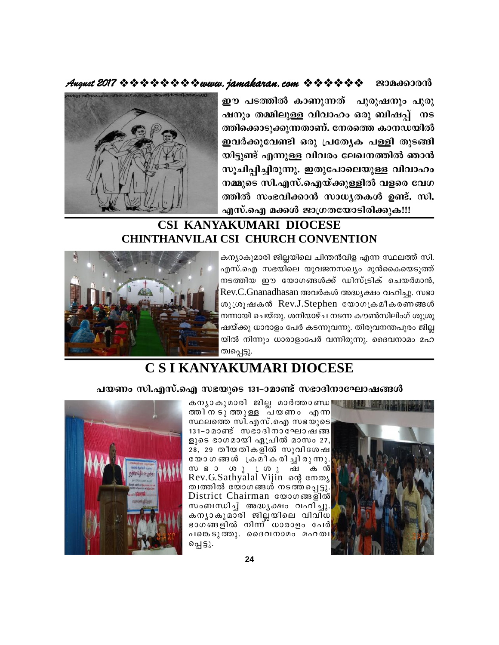### ജാമക്കാരൻ



ഈ പടത്തിൽ കാണുന്നത് പുരുഷനും പുരു ഷനും തമ്മിലുള്ള വിവാഹം ഒരു ബിഷപ്പ് നട ത്തിക്കൊടുക്കുന്നതാണ്. നേരത്തെ കാനഡയിൽ ഇവർക്കുവേണ്ടി ഒരു പ്രത്യേക പള്ളി തുടങ്ങി യിട്ടുണ്ട് എന്നുള്ള വിവരം ലേഖനത്തിൽ ഞാൻ സൂചിപ്പിച്ചിരുന്നു. ഇതുപോലെയുള്ള വിവാഹം നമ്മുടെ സി.എസ്.ഐയ്ക്കുള്ളിൽ വളരെ വേഗ ത്തിൽ സംഭവിക്കാൻ സാധ്യതകൾ ഉണ്ട്. സി. എസ്.ഐ മക്കൾ ജാഗ്രതയോടിരിക്കുക!!!

# **CSI KANYAKUMARI DIOCESE CHINTHANVILAI CSI CHURCH CONVENTION**



കന്യാകുമാരി ജില്ലയിലെ ചിന്തൻവിള എന്ന സ്ഥലത്ത് സി. എസ്.ഐ സഭയിലെ യുവജനസഖ്യം മുൻകൈയെടുത്ത് നടത്തിയ ഈ യോഗങ്ങൾക്ക് ഡിസ്ട്രിക് ചെയർമാൻ, Rev.C.Gnanadhasan അവർകൾ അദ്ധ്യക്ഷം വഹിച്ചു. സഭാ ശുശ്രൂഷകൻ Rev.J.Stephen യോഗക്രമീകരണങ്ങൾ നന്നായി ചെയ്തു. ശനിയാഴ്ച നടന്ന കൗൺസിലിംഗ് ശുശ്രു ഷയ്ക്കു ധാരാളം പേർ കടന്നുവന്നു. തിരുവനന്തപുരം ജില്ല യിൽ നിന്നും ധാരാളംപേർ വന്നിരുന്നു. ദൈവനാമം മഹ ത്വപ്പെട്ടു.

# C S I KANYAKUMARI DIOCESE

# പയണം സി.എസ്.ഐ സഭയുടെ 131-ാമാണ്ട് സഭാദിനാഘോഷങ്ങൾ



കനൃാകുമാരി ജില്ല മാർത്താണ്ഡ <mark>പു</mark> തരിനടുത്തുള്ള പ്യണം എന്ന സ്ഥലത്തെ സി.എസ്.ഐ സഭയുടെ 131-ാമാണ്ട് സഭാദിനാഘോഷങ്ങ ളുടെ ഭാഗമായി ഏപ്രിൽ മാസം 27, 28, 29 തീയതികളിൽ സുവിശേഷ യോഗങ്ങൾ ക്രമീകരിച്ചിരുന്നു. സ്ഭാ ശു്തുഷ്കൻ<br>Rev.G.Sathyalal Vijin ഐ നേതൃ ത്വത്തിൽ യോഗങ്ങൾ നടത്തപ്പെട്ടു. District Chairman லോഗணதில் സംബന്ധിച്ച് അദ്ധ്യക്ഷം വഹിച്ചു. കന്യാകുമാരി ജില്ലയിലെ വിവിധ ഭാഗ്ങ്ങളിൽ നിന്ന് ധാരാളം പേർ പങ്കെടുത്തു. ദൈവനാമം മഹത്വ പ്പെട്ടു.

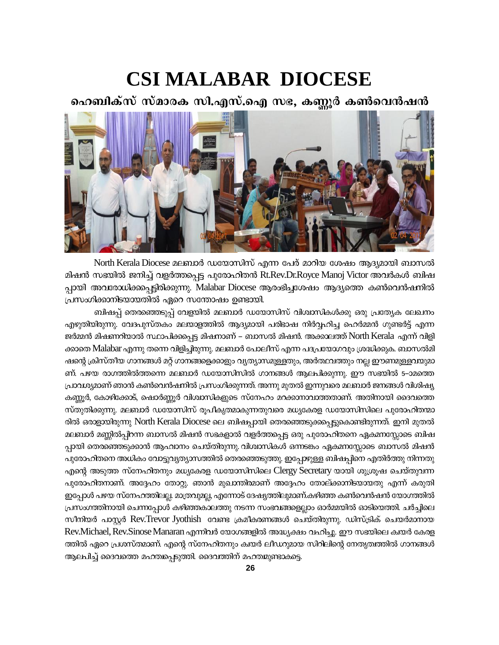# **CSI MALABAR DIOCESE**

ഹെബിക്സ് സ്മാരക സി.എസ്.ഐ സഭ, കണ്ണൂർ കൺവെൻഷൻ



North Kerala Diocese മലബാർ ഡയോസിസ് എന്ന പേര് മാറിയ ശേഷം ആദ്യമായി ബാസൽ മിഷൻ സഭയിൽ ജനിച്ച് വളർത്തപ്പെട്ട പുരോഹിതൻ Rt.Rev.Dr.Royce Manoj Victor അവർകൾ ബിഷ പ്പായി അവരോധിക്കപ്പെട്ടിരിക്കുന്നു. Malabar Diocese ആരംഭിച്ചശേഷം ആദ്യത്തെ കൺവെൻഷനിൽ പ്രസംഗിക്കാനിടയായതിൽ ഏറെ സന്തോഷം ഉണ്ടായി.

ബിഷപ്പ് തെരഞ്ഞെടുപ്പ് വേളയിൽ മലബാർ ഡയോസിസ് വിശ്വാസികൾക്കു ഒരു പ്രത്യേക ലേഖനം എഴുതിയിരുന്നു. വേദപുസ്തകം മലയാളത്തിൽ ആദ്യമായി പരിഭാഷ നിർവ്വഹിച്ച ഹെർമ്മൻ ഗുണ്ടർട്ട് എന്ന ജർമ്മൻ മിഷണറിയാൽ സ്ഥാപിക്കപ്പെട്ട മിഷനാണ് – ബാസൽ മിഷൻ. അക്കാലത്ത് North Kerala എന്ന് വിളി ക്കാതെ Malabar എന്നു തന്നെ വിളിച്ചിരുന്നു. മലബാർ പോലീസ് എന്ന പദപ്രയോഗവും ശ്രദ്ധിക്കുക. ബാസൽമി ഷന്റെ ക്രിസ്തീയ ഗാനങ്ങൾ മറ്റ് ഗാനങ്ങളെക്കാളും വൃത്യാസമുള്ളതും, അർത്ഥവത്തും നല്ല ഈണമുള്ളവയുമാ ണ്. പഴയ രാഗത്തിൽത്തന്നെ മലബാർ ഡയോസിസിൽ ഗാനങ്ങൾ ആലപിക്കുന്നു. ഈ സഭയിൽ 5–ാമത്തെ പ്രാവശ്യമാണ് ഞാൻ കൺവെൻഷനിൽ പ്രസംഗിക്കുന്നത്. അന്നു മുതൽ ഇന്നുവരെ മലബാർ ജനങ്ങൾ വിശിഷ്യ കണ്ണൂർ, കോഴിക്കോട്, ഷൊർണ്ണൂർ വിശ്വാസികളുടെ സ്നേഹം മറക്കാനാവാത്തതാണ്. അതിനായി ദൈവത്തെ സ്തുതിക്കുന്നു. മലബാർ ഡയോസിസ് രൂപീകൃത്മാകുന്നതുവരെ മധ്യകേരള ഡയോസിസിലെ പുരോഹിതന്മാ രിൽ ഒരാളായിരുന്നു North Kerala Diocese ലെ ബിഷപ്പായി തെരുഞ്ഞടുക്കപ്പെട്ടുകൊണ്ടിരുന്നത്. ഇനി മുതൽ മലബാർ മണ്ണിൽപ്പിറന്ന ബാസൽ മിഷൻ സഭകളാൽ വളർത്തപ്പെട്ട ഒരു പുരോഹിതനെ ഏകമനസ്സോടെ ബിഷ പ്പായി തെരഞ്ഞെടുക്കാൻ ആഹ്വാനം ചെയ്തിരുന്നു. വിശ്വാസികൾ ഒന്നടങ്കം ഏകമനസ്സോടെ ബാസൽ മിഷൻ പുരോഹിതനെ അധികം വോട്ടുവൃത്യാസത്തിൽ തെരഞ്ഞെടുത്തു. ഇപ്പോഴുള്ള ബിഷപ്പിനെ എതിർത്തു നിന്നതു എന്റെ അടുത്ത സ്നേഹിതനും മധ്യകേരള ഡയോസിസിലെ Clergy Secretary യായി ശുശ്രൂഷ ചെയ്തുവന്ന പുരോഹിതനാണ്. അദ്ദേഹം തോറ്റു. ഞാൻ മുഖാന്തിരമാണ് അദ്ദേഹം തോല്ക്കാനിടയായതു എന്ന് കരുതി . ഇപ്പോൾ പഴയ സ്നേഹത്തിലല്ല. മാത്രവുമല്ല, എന്നോട് ദേഷ്യത്തിലുമാണ്.കഴിഞ്ഞ കൺവെൻഷൻ യോഗത്തിൽ പ്രസംഗത്തിനായി ചെന്നപ്പോൾ കഴിഞ്ഞകാലത്തു നടന്ന സംഭവങ്ങളെല്ലാം ഓർമ്മയിൽ ഓടിയെത്തി. ചർച്ചിലെ സീനിയർ പാസ്റ്റർ Rev.Trevor Jyothish വേണ്ട ക്രമീകരണങ്ങൾ ചെയ്തിരുന്നു. ഡിസ്ട്രിക് ചെയർമാനായ Rev.Michael, Rev.Sinose Manaran എന്നിവർ യോഗങ്ങളിൽ അദ്ധ്യക്ഷം വഹിച്ചു. ഈ സഭയിലെ ക്വയർ കേരള ത്തിൽ ഏറെ പ്രശസ്തമാണ്. എന്റെ സ്നേഹിതനും ക്വയർ ലീഡറുമായ സിറിലിന്റെ നേതൃത്വത്തിൽ ഗാനങ്ങൾ ആലപിച്ച് ദൈവത്തെ മഹത്തപ്പെടുത്തി. ദൈവത്തിന് മഹതമുണ്ടാകട്ടെ.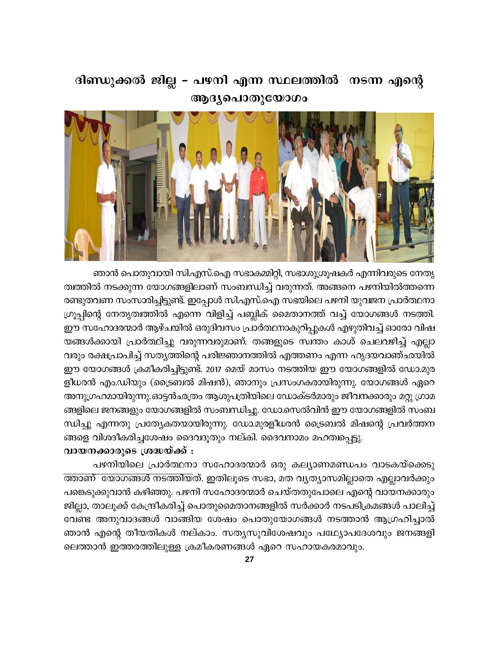# ദിണ്ഡുക്കൽ ജില്ല – പഴനി എന്ന സ്ഥലത്തിൽ നടന്ന എന്റെ ആദ്യപൊതുയോഗം



ഞാൻ പൊതുവായി സി.എസ്.ഐ സഭാകമ്മിറ്റി, സഭാശുശ്രൂഷകർ എന്നിവരുടെ നേതൃ ത്വത്തിൽ നടക്കുന്ന യോഗങ്ങളിലാണ് സംബന്ധിച്ച് വരുന്നത്. അങ്ങനെ പഴനിയിൽത്തന്നെ രണ്ടുതവണ സംസാരിച്ചിട്ടുണ്ട്. ഇപ്പോൾ സി.എസ്.ഐ സഭയിലെ പഴനി യുവജന പ്രാർത്ഥനാ ഗ്രൂപ്പിന്റെ നേതൃത്വത്തിൽ എന്നെ വിളിച്ച് പബ്ലിക് മൈതാനത്ത് വച്ച് യോഗങ്ങൾ നടത്തി. ഈ സഹോദരന്മാർ ആഴ്ചയിൽ ഒരുദിവസം പ്രാർത്ഥനാകുറിപ്പുകൾ എഴുതിവച്ച് ഓരോ വിഷ യങ്ങൾക്കായി പ്രാർത്ഥിച്ചു വരുന്നവരുമാണ്. തങ്ങളുടെ സ്ഥതം കാശ് ചെലവഴിച്ച് എല്ലാ വരും രക്ഷപ്രാപിച്ച് സതൃത്തിന്റെ പരിജ്ഞാനത്തിൽ എത്തണം എന്ന ഹൃദയവാഞ്ഛയിൽ ഈ യോഗങ്ങൾ ക്രമീകരിച്ചിട്ടുണ്ട്. 2017 മെയ് മാസം നടത്തിയ ഈ യോഗങ്ങളിൽ ഡോ.മുര ളീധരൻ എം.ഡിയും (ട്രൈബൽ മിഷൻ), ഞാനും പ്രസംഗകരായിരുന്നു. യോഗങ്ങൾ ഏറെ അനുഗ്രഹമായിരുന്നു.ഓട്ടൻഛത്രം ആശുപത്രിയിലെ ഡോക്ടർമാരും ജീവനക്കാരും മറ്റു ഗ്രാമ ങ്ങളിലെ ജനങ്ങളും യോഗങ്ങളിൽ സംബന്ധിച്ചു. ഡോ.സെൽവിൻ ഈ യോഗങ്ങളിൽ സംബ ന്ധിച്ചു എന്നതു പ്രത്യേകതയായിരുന്നു. ഡോ.മുരളീധരൻ ട്രൈബൽ മിഷന്റെ പ്രവർത്തന ങ്ങളെ വിശദീകരിച്ചശേഷം ദൈവദൂതും നല്കി. ദൈവനാമം മഹത്വപ്പെട്ടു.

# വായനക്കാരുടെ ശ്രദ്ധയ്ക്ക് :

പഴനിയിലെ പ്രാർത്ഥനാ സഹോദരന്മാർ ഒരു കല്യാണമണ്ഡപം വാടകയ്ക്കെടു ത്താണ് യോഗങ്ങൾ നടത്തിയത്. ഇതിലൂടെ സഭാ, മത വ്യത്യാസമില്ലാതെ എല്ലാവർക്കും പങ്കെടുക്കുവാൻ കഴിഞ്ഞു. പഴനി സഹോദരന്മാർ ചെയ്തതുപോലെ എന്റെ വായനക്കാരും ജില്ലാ, താലൂക്ക് കേന്ദ്രീകരിച്ച് പൊതുമൈതാനങ്ങളിൽ സർക്കാർ നടപടിക്രമങ്ങൾ പാലിച്ച് വേണ്ട അനുവാദങ്ങൾ വാങ്ങിയ ശേഷം പൊതുയോഗങ്ങൾ നടത്താൻ ആഗ്രഹിച്ചാൽ ഞാൻ എന്റെ തീയതികൾ നല്കാം. സത്യസുവിശേഷവും പഥ്യോപദേശവും ജനങ്ങളി ലെത്താൻ ഇത്തരത്തിലുള്ള ക്രമീകരണങ്ങൾ ഏറെ സഹായകരമാവും.